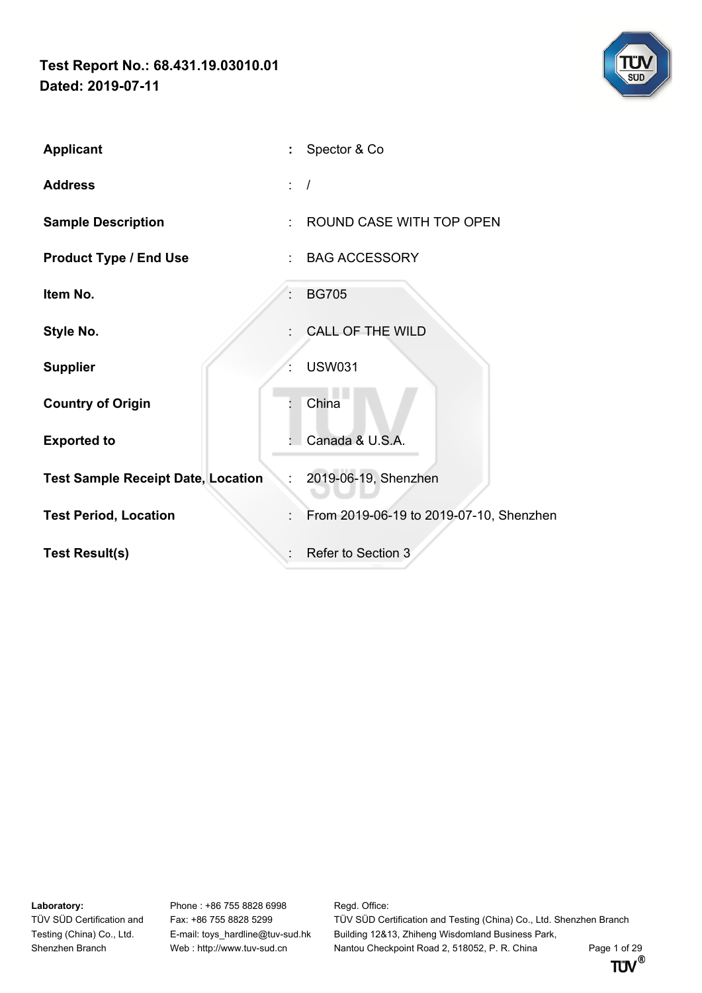

| <b>Applicant</b>                          | ÷ | Spector & Co                            |
|-------------------------------------------|---|-----------------------------------------|
| <b>Address</b>                            |   | $\prime$                                |
| <b>Sample Description</b>                 |   | ROUND CASE WITH TOP OPEN                |
| <b>Product Type / End Use</b>             |   | <b>BAG ACCESSORY</b>                    |
| Item No.                                  |   | <b>BG705</b>                            |
| Style No.                                 |   | <b>CALL OF THE WILD</b>                 |
| <b>Supplier</b>                           |   | <b>USW031</b>                           |
| <b>Country of Origin</b>                  |   | China                                   |
| <b>Exported to</b>                        |   | Canada & U.S.A.                         |
| <b>Test Sample Receipt Date, Location</b> |   | 2019-06-19, Shenzhen                    |
| <b>Test Period, Location</b>              |   | From 2019-06-19 to 2019-07-10, Shenzhen |
| <b>Test Result(s)</b>                     |   | Refer to Section 3                      |

Laboratory: **Phone : +86 755 8828 6998** Regd. Office:

TÜV SÜD Certification and Fax: +86 755 8828 5299 TÜV SÜD Certification and Testing (China) Co., Ltd. Shenzhen Branch Testing (China) Co., Ltd. E-mail: toys\_hardline@tuv-sud.hk Building 12&13, Zhiheng Wisdomland Business Park, Shenzhen Branch Web : http://www.tuv-sud.cn Nantou Checkpoint Road 2, 518052, P. R. China Page 1 of 29

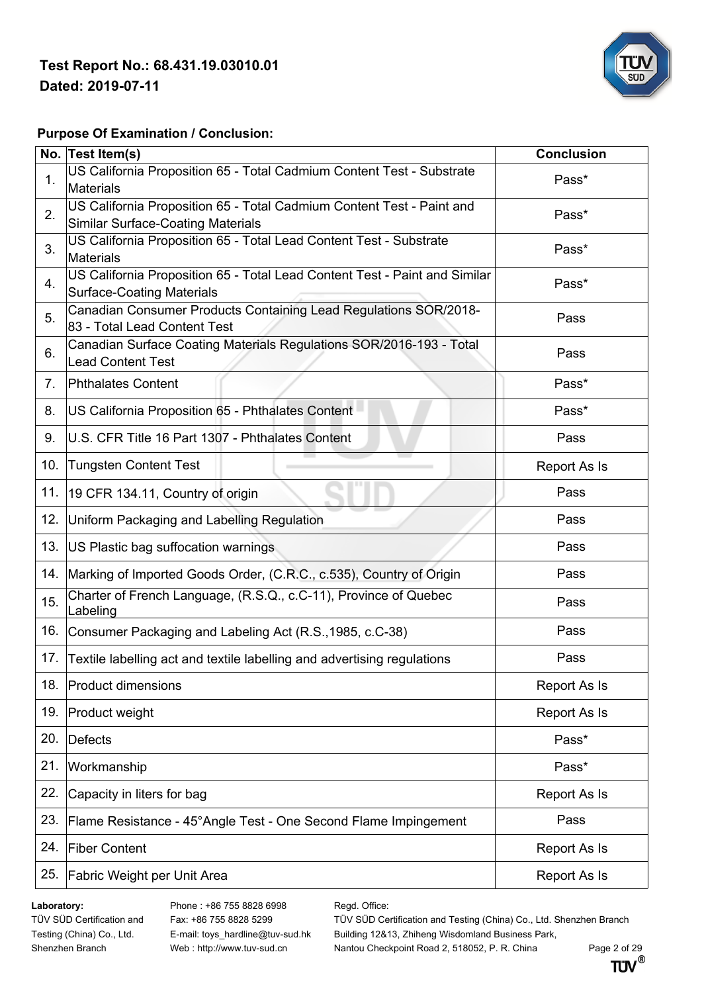

### **Purpose Of Examination / Conclusion:**

|     | No. Test Item(s)                                                                                                  | <b>Conclusion</b>   |
|-----|-------------------------------------------------------------------------------------------------------------------|---------------------|
| 1.  | US California Proposition 65 - Total Cadmium Content Test - Substrate<br>Materials                                | Pass*               |
| 2.  | US California Proposition 65 - Total Cadmium Content Test - Paint and<br><b>Similar Surface-Coating Materials</b> | Pass*               |
| 3.  | US California Proposition 65 - Total Lead Content Test - Substrate<br>Materials                                   | Pass*               |
| 4.  | US California Proposition 65 - Total Lead Content Test - Paint and Similar<br><b>Surface-Coating Materials</b>    | Pass*               |
| 5.  | Canadian Consumer Products Containing Lead Regulations SOR/2018-<br>83 - Total Lead Content Test                  | Pass                |
| 6.  | Canadian Surface Coating Materials Regulations SOR/2016-193 - Total<br><b>Lead Content Test</b>                   | Pass                |
| 7.  | <b>Phthalates Content</b>                                                                                         | Pass*               |
| 8.  | US California Proposition 65 - Phthalates Content                                                                 | Pass*               |
| 9.  | U.S. CFR Title 16 Part 1307 - Phthalates Content                                                                  | Pass                |
| 10. | <b>Tungsten Content Test</b>                                                                                      | Report As Is        |
| 11. | 19 CFR 134.11, Country of origin                                                                                  | Pass                |
|     | 12. Uniform Packaging and Labelling Regulation                                                                    | Pass                |
|     | 13.  US Plastic bag suffocation warnings                                                                          | Pass                |
|     | 14. Marking of Imported Goods Order, (C.R.C., c.535), Country of Origin                                           | Pass                |
| 15. | Charter of French Language, (R.S.Q., c.C-11), Province of Quebec<br>Labeling                                      | Pass                |
|     | 16. Consumer Packaging and Labeling Act (R.S., 1985, c.C-38)                                                      | Pass                |
|     | 17. Textile labelling act and textile labelling and advertising regulations                                       | Pass                |
| 18. | <b>Product dimensions</b>                                                                                         | <b>Report As Is</b> |
| 19. | Product weight                                                                                                    | Report As Is        |
| 20. | Defects                                                                                                           | Pass*               |
| 21. | Workmanship                                                                                                       | Pass*               |
| 22. | Capacity in liters for bag                                                                                        | Report As Is        |
| 23. | Flame Resistance - 45°Angle Test - One Second Flame Impingement                                                   | Pass                |
| 24. | <b>Fiber Content</b>                                                                                              | Report As Is        |
| 25. | Fabric Weight per Unit Area                                                                                       | Report As Is        |

Laboratory: **Phone : +86 755 8828 6998** Regd. Office:

TÜV SÜD Certification and Fax: +86 755 8828 5299 TÜV SÜD Certification and Testing (China) Co., Ltd. Shenzhen Branch Testing (China) Co., Ltd. E-mail: toys\_hardline@tuv-sud.hk Building 12&13, Zhiheng Wisdomland Business Park,

Shenzhen Branch Web : http://www.tuv-sud.cn Nantou Checkpoint Road 2, 518052, P. R. China Page 2 of 29<br>**TTM**<sup>®</sup>

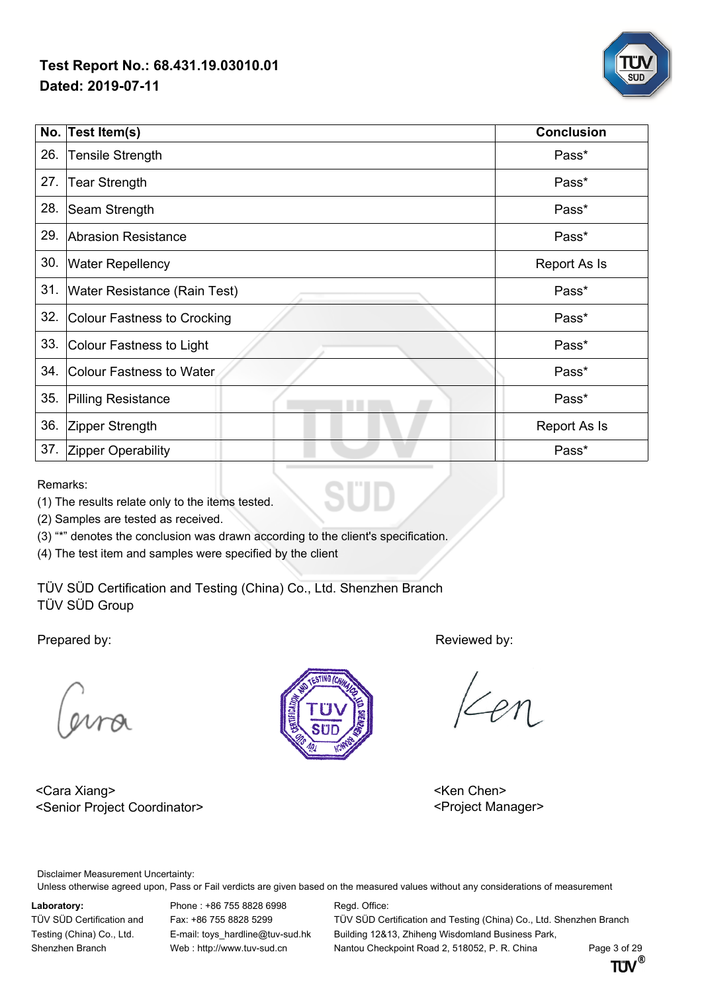

|     | No. Test Item(s)                 | <b>Conclusion</b> |
|-----|----------------------------------|-------------------|
| 26. | Tensile Strength                 | Pass*             |
| 27. | Tear Strength                    | Pass*             |
| 28. | Seam Strength                    | Pass*             |
| 29. | Abrasion Resistance              | Pass*             |
| 30. | <b>Water Repellency</b>          | Report As Is      |
|     | 31. Water Resistance (Rain Test) | Pass*             |
| 32. | Colour Fastness to Crocking      | Pass*             |
|     | 33. Colour Fastness to Light     | Pass*             |
| 34. | Colour Fastness to Water         | Pass*             |
| 35. | <b>Pilling Resistance</b>        | Pass*             |
| 36. | Zipper Strength                  | Report As Is      |
| 37. | <b>Zipper Operability</b>        | Pass*             |

Remarks:

(1) The results relate only to the items tested.

(2) Samples are tested as received.

(3) "\*" denotes the conclusion was drawn according to the client's specification.

(4) The test item and samples were specified by the client

TÜV SÜD Certification and Testing (China) Co., Ltd. Shenzhen Branch TÜV SÜD Group

<Cara Xiang> <Cara Xiang> <Cara Xiang> <Ken Chen> <Senior Project Coordinator>
Access 1999 <Project Manager>
<Project Manager>
<Project Manager>
<Project Manager>
<Project Manager>
<Project Manager>
<Project Manager>
<Project Manager>
<Project Manager>
<Project Manager>
<



Prepared by: Reviewed by:

Disclaimer Measurement Uncertainty:

Unless otherwise agreed upon, Pass or Fail verdicts are given based on the measured values without any considerations of measurement

Laboratory: Phone : +86 755 8828 6998 Regd. Office:

TÜV SÜD Certification and Fax: +86 755 8828 5299 TÜV SÜD Certification and Testing (China) Co., Ltd. Shenzhen Branch Testing (China) Co., Ltd. E-mail: toys hardline@tuv-sud.hk Building 12&13, Zhiheng Wisdomland Business Park, Shenzhen Branch Web : http://www.tuv-sud.cn Nantou Checkpoint Road 2, 518052, P. R. China Page 3 of 29<br>**TTM<sup>®</sup>** 

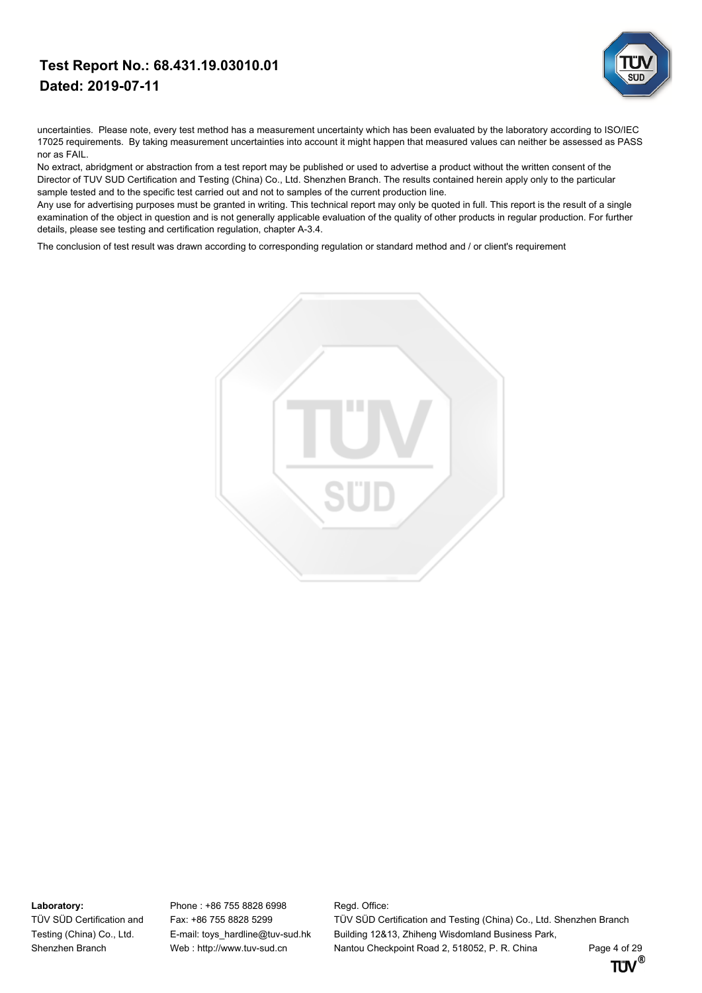

uncertainties. Please note, every test method has a measurement uncertainty which has been evaluated by the laboratory according to ISO/IEC 17025 requirements. By taking measurement uncertainties into account it might happen that measured values can neither be assessed as PASS nor as FAIL.

No extract, abridgment or abstraction from a test report may be published or used to advertise a product without the written consent of the Director of TUV SUD Certification and Testing (China) Co., Ltd. Shenzhen Branch. The results contained herein apply only to the particular sample tested and to the specific test carried out and not to samples of the current production line.

Any use for advertising purposes must be granted in writing. This technical report may only be quoted in full. This report is the result of a single examination of the object in question and is not generally applicable evaluation of the quality of other products in regular production. For further details, please see testing and certification regulation, chapter A-3.4.

The conclusion of test result was drawn according to corresponding regulation or standard method and / or client's requirement



Laboratory: Phone : +86 755 8828 6998 Regd. Office:

TÜV SÜD Certification and Fax: +86 755 8828 5299 TÜV SÜD Certification and Testing (China) Co., Ltd. Shenzhen Branch Testing (China) Co., Ltd. E-mail: toys hardline@tuv-sud.hk Building 12&13, Zhiheng Wisdomland Business Park, Shenzhen Branch Web : http://www.tuv-sud.cn Nantou Checkpoint Road 2, 518052, P. R. China Page 4 of 29<br>**TI'M** 

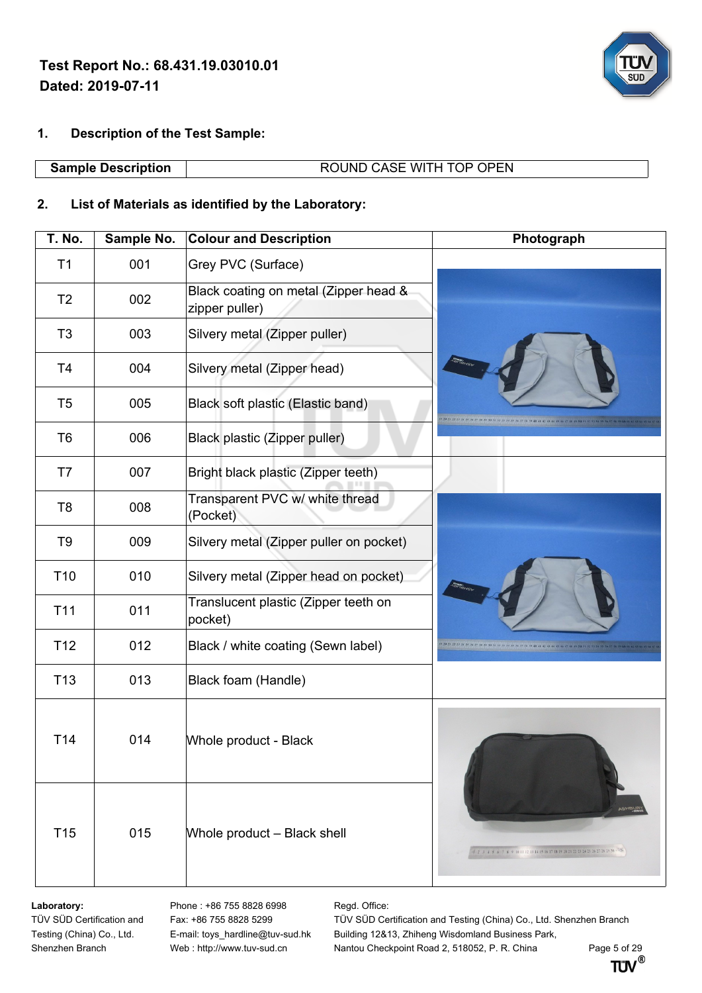

### **1. Description of the Test Sample:**

# **Sample Description** ROUND CASE WITH TOP OPEN

# **2. List of Materials as identified by the Laboratory:**

| T. No.          | Sample No. | <b>Colour and Description</b>                           | Photograph                                                                                            |
|-----------------|------------|---------------------------------------------------------|-------------------------------------------------------------------------------------------------------|
| T1              | 001        | Grey PVC (Surface)                                      |                                                                                                       |
| T <sub>2</sub>  | 002        | Black coating on metal (Zipper head &<br>zipper puller) |                                                                                                       |
| T <sub>3</sub>  | 003        | Silvery metal (Zipper puller)                           |                                                                                                       |
| T <sub>4</sub>  | 004        | Silvery metal (Zipper head)                             |                                                                                                       |
| T <sub>5</sub>  | 005        | Black soft plastic (Elastic band)                       |                                                                                                       |
| T <sub>6</sub>  | 006        | Black plastic (Zipper puller)                           |                                                                                                       |
| T7              | 007        | Bright black plastic (Zipper teeth)                     |                                                                                                       |
| T <sub>8</sub>  | 008        | Transparent PVC w/ white thread<br>(Pocket)             |                                                                                                       |
| T <sub>9</sub>  | 009        | Silvery metal (Zipper puller on pocket)                 |                                                                                                       |
| T <sub>10</sub> | 010        | Silvery metal (Zipper head on pocket)                   |                                                                                                       |
| T <sub>11</sub> | 011        | Translucent plastic (Zipper teeth on<br>pocket)         |                                                                                                       |
| T <sub>12</sub> | 012        | Black / white coating (Sewn label)                      |                                                                                                       |
| T <sub>13</sub> | 013        | Black foam (Handle)                                     |                                                                                                       |
| T <sub>14</sub> | 014        | <b>Whole product - Black</b>                            |                                                                                                       |
| T <sub>15</sub> | 015        | Whole product - Black shell                             | <b>LISHBU</b><br>4 2 3 4 5 6 7 8 9 10 11 12 13 14 15 16 17 18 19 20 21 22 23 24 25 26 27 28 29 30 - 3 |

Laboratory: **Phone : +86 755 8828 6998** Regd. Office:

TÜV SÜD Certification and Fax: +86 755 8828 5299 TÜV SÜD Certification and Testing (China) Co., Ltd. Shenzhen Branch Testing (China) Co., Ltd. E-mail: toys\_hardline@tuv-sud.hk Building 12&13, Zhiheng Wisdomland Business Park, Shenzhen Branch Web : http://www.tuv-sud.cn Nantou Checkpoint Road 2, 518052, P. R. China Page 5 of 29<br>**TI'M<sup>®</sup> TI'** 

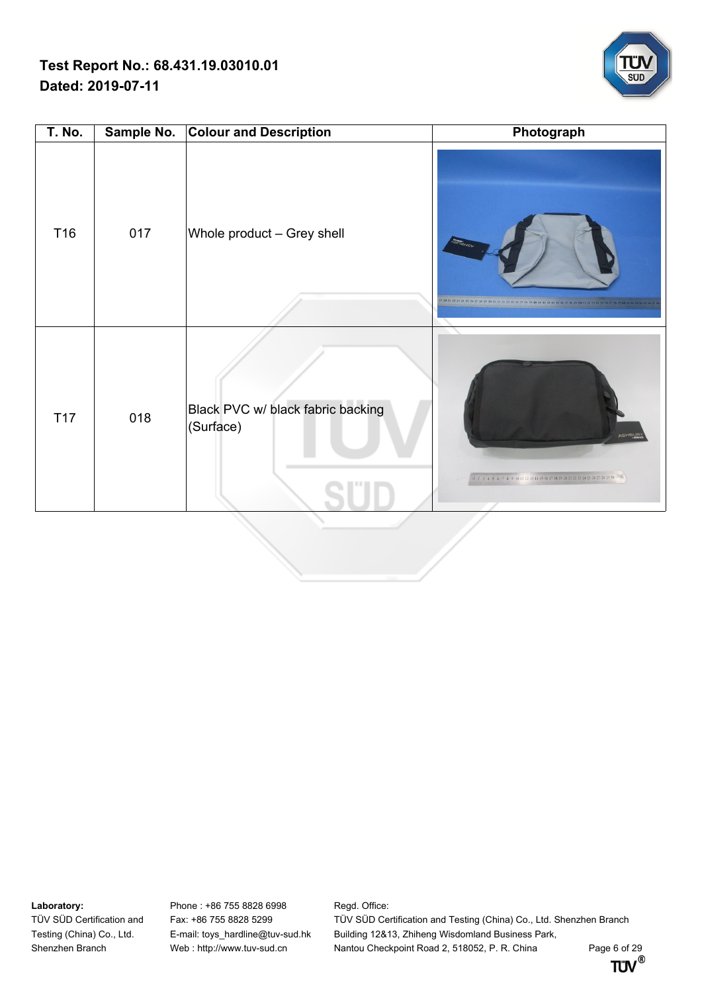

| <b>T. No.</b> | Sample No. | <b>Colour and Description</b>                  | Photograph                                                                                      |
|---------------|------------|------------------------------------------------|-------------------------------------------------------------------------------------------------|
| T16           | 017        | Whole product - Grey shell                     | <b>ANTIGHS</b><br>20 21 22 23 24 25 26 27 28 29 30 31 32 33 34 35 36 37 38 1                    |
| <b>T17</b>    | 018        | Black PVC w/ black fabric backing<br>(Surface) | <b>ASHBUR</b><br>2 3 4 5 6 7 8 9 10 11 12 13 14 15 16 17 18 19 20 21 22 23 24 25 26 27 28 29 30 |

Laboratory: **Phone : +86 755 8828 6998** Regd. Office:

TÜV SÜD Certification and Fax: +86 755 8828 5299 TÜV SÜD Certification and Testing (China) Co., Ltd. Shenzhen Branch Testing (China) Co., Ltd. E-mail: toys\_hardline@tuv-sud.hk Building 12&13, Zhiheng Wisdomland Business Park, Shenzhen Branch Web : http://www.tuv-sud.cn Nantou Checkpoint Road 2, 518052, P. R. China Page 6 of 29<br>**TTM**<sup>®</sup>

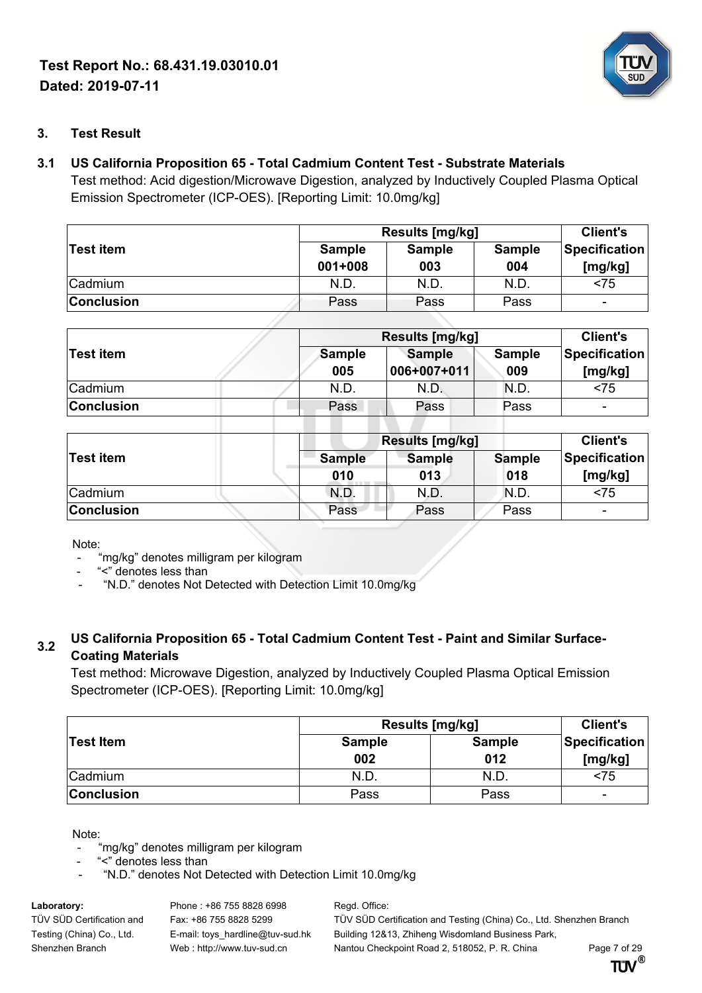

## **3. Test Result**

## **3.1 US California Proposition 65 - Total Cadmium Content Test - Substrate Materials** Test method: Acid digestion/Microwave Digestion, analyzed by Inductively Coupled Plasma Optical Emission Spectrometer (ICP-OES). [Reporting Limit: 10.0mg/kg]

|                   | Results [mg/kg]          |                      |                      |                          |  |
|-------------------|--------------------------|----------------------|----------------------|--------------------------|--|
| Test item         | <b>Sample</b><br>001+008 | <b>Sample</b><br>003 | <b>Sample</b><br>004 | Specification<br>[mg/kg] |  |
| <b>Cadmium</b>    | N.D                      | N.D                  | N.D.                 | < 75                     |  |
| <b>Conclusion</b> | Pass                     | Pass                 | Pass                 | -                        |  |

|                   |                      | Results [mg/kg]              |                      |                                 |  |
|-------------------|----------------------|------------------------------|----------------------|---------------------------------|--|
| <b>Test item</b>  | <b>Sample</b><br>005 | <b>Sample</b><br>006+007+011 | <b>Sample</b><br>009 | <b>Specification</b><br>[mg/kg] |  |
| Cadmium           | N.D.                 | N.D.                         | N.D.                 | < 75                            |  |
| <b>Conclusion</b> | Pass                 | Pass                         | Pass                 |                                 |  |
|                   |                      |                              |                      |                                 |  |

|                   |                      | <b>Results [mg/kg]</b> |                      |                                 |
|-------------------|----------------------|------------------------|----------------------|---------------------------------|
| Test item         | <b>Sample</b><br>010 | <b>Sample</b><br>013   | <b>Sample</b><br>018 | <b>Specification</b><br>[mg/kg] |
| Cadmium           | N.D.                 | N.D                    | N.D.                 | < 75                            |
| <b>Conclusion</b> | <b>Pass</b>          | Pass                   | Pass                 | ۰                               |

Note:

- "mg/kg" denotes milligram per kilogram
- "<" denotes less than
- "N.D." denotes Not Detected with Detection Limit 10.0mg/kg

# **3.2 US California Proposition <sup>65</sup> - Total Cadmium Content Test - Paint and Similar Surface-Coating Materials**

Test method: Microwave Digestion, analyzed by Inductively Coupled Plasma Optical Emission Spectrometer (ICP-OES). [Reporting Limit: 10.0mg/kg]

|                   | Results [mg/kg] | <b>Client's</b> |               |
|-------------------|-----------------|-----------------|---------------|
| ∣Test Item        | <b>Sample</b>   | <b>Sample</b>   | Specification |
|                   | 002             | 012             | [mg/kg]       |
| <b>Cadmium</b>    | N.D.            | N.D             | <75           |
| <b>Conclusion</b> | Pass            | Pass            | ۰             |

Note:

- "mg/kg" denotes milligram per kilogram
- "<" denotes less than
- "N.D." denotes Not Detected with Detection Limit 10.0mg/kg

Laboratory: Phone : +86 755 8828 6998 Regd. Office:

TÜV SÜD Certification and Fax: +86 755 8828 5299 TÜV SÜD Certification and Testing (China) Co., Ltd. Shenzhen Branch Testing (China) Co., Ltd. E-mail: toys hardline@tuv-sud.hk Building 12&13, Zhiheng Wisdomland Business Park, Shenzhen Branch Web : http://www.tuv-sud.cn Nantou Checkpoint Road 2, 518052, P. R. China Page 7 of 29<br>**TI'M** 

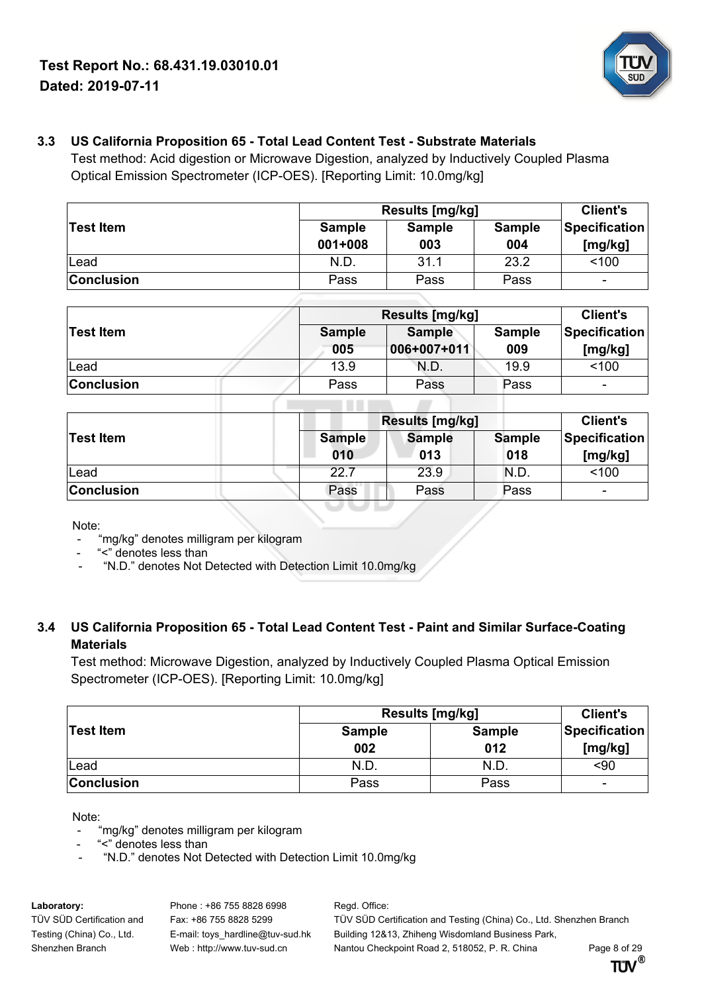

## **3.3 US California Proposition 65 - Total Lead Content Test - Substrate Materials**

Test method: Acid digestion or Microwave Digestion, analyzed by Inductively Coupled Plasma Optical Emission Spectrometer (ICP-OES). [Reporting Limit: 10.0mg/kg]

|                   | Results [mg/kg]          |                      |                      |                          |
|-------------------|--------------------------|----------------------|----------------------|--------------------------|
| ∣Test Item        | <b>Sample</b><br>001+008 | <b>Sample</b><br>003 | <b>Sample</b><br>004 | Specification<br>[mg/kg] |
| Lead              | N.D                      | 31.1                 | 23.2                 | < 100                    |
| <b>Conclusion</b> | Pass                     | Pass                 | Pass                 | ۰                        |

|                   |                      | Results [mg/kg]              |                      |                                 |  |
|-------------------|----------------------|------------------------------|----------------------|---------------------------------|--|
| <b>Test Item</b>  | <b>Sample</b><br>005 | <b>Sample</b><br>006+007+011 | <b>Sample</b><br>009 | <b>Specification</b><br>[mg/kg] |  |
| Lead              | 13.9                 | N.D.                         | 19.9                 | 100                             |  |
| <b>Conclusion</b> | Pass                 | Pass                         | Pass                 |                                 |  |

|                   |               | <b>Results [mg/kg]</b> |               |                          |  |
|-------------------|---------------|------------------------|---------------|--------------------------|--|
| <b>Test Item</b>  | <b>Sample</b> | <b>Sample</b>          | <b>Sample</b> | <b>Specification</b>     |  |
|                   | 010           | 013                    | 018           | [mg/kg]                  |  |
| Lead              | 22.7          | 23.9                   | N.D.          | < 100                    |  |
| <b>Conclusion</b> | Pass          | Pass                   | Pass          | $\overline{\phantom{a}}$ |  |

Note:

- "mg/kg" denotes milligram per kilogram
- "<" denotes less than
- "N.D." denotes Not Detected with Detection Limit 10.0mg/kg

# **3.4 US California Proposition 65 - Total Lead Content Test - Paint and Similar Surface-Coating Materials**

Test method: Microwave Digestion, analyzed by Inductively Coupled Plasma Optical Emission Spectrometer (ICP-OES). [Reporting Limit: 10.0mg/kg]

|                   | Results [mg/kg]      | <b>Client's</b>      |                          |
|-------------------|----------------------|----------------------|--------------------------|
| Test Item         | <b>Sample</b><br>002 | <b>Sample</b><br>012 | Specification<br>[mg/kg] |
| Lead              | N.D.                 | N.D.                 | $90$                     |
| <b>Conclusion</b> | Pass                 | Pass                 | -                        |

Note:

- "mg/kg" denotes milligram per kilogram
- "<" denotes less than
- "N.D." denotes Not Detected with Detection Limit 10.0mg/kg

Laboratory: Phone : +86 755 8828 6998 Regd. Office:

TÜV SÜD Certification and Fax: +86 755 8828 5299 TÜV SÜD Certification and Testing (China) Co., Ltd. Shenzhen Branch Testing (China) Co., Ltd. E-mail: toys hardline@tuv-sud.hk Building 12&13, Zhiheng Wisdomland Business Park, Shenzhen Branch Web : http://www.tuv-sud.cn Nantou Checkpoint Road 2, 518052, P. R. China Page 8 of 29<br>**TI'M** 

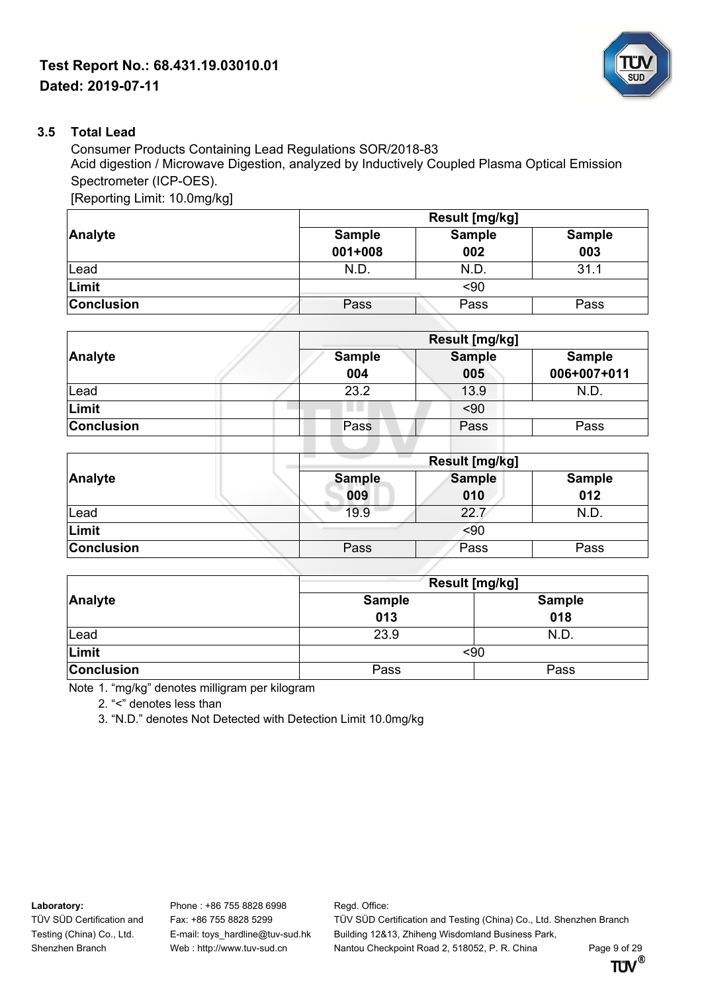

# **3.5 Total Lead**

Consumer Products Containing Lead Regulations SOR/2018-83 Acid digestion / Microwave Digestion, analyzed by Inductively Coupled Plasma Optical Emission Spectrometer (ICP-OES). [Reporting Limit: 10.0mg/kg]

|                   |               | Result [mg/kg] |               |  |  |  |
|-------------------|---------------|----------------|---------------|--|--|--|
| Analyte           | <b>Sample</b> | <b>Sample</b>  | <b>Sample</b> |  |  |  |
|                   | 001+008       | 002            | 003           |  |  |  |
| Lead              | N.D.          | N.D.           | 31.1          |  |  |  |
| Limit             |               | $90$           |               |  |  |  |
| <b>Conclusion</b> | Pass          | Pass           | Pass          |  |  |  |

|                   |                      | <b>Result [mg/kg]</b> |                              |
|-------------------|----------------------|-----------------------|------------------------------|
| Analyte           | <b>Sample</b><br>004 | <b>Sample</b><br>005  | <b>Sample</b><br>006+007+011 |
| Lead              | 23.2                 | 13.9                  | N.D.                         |
| Limit             |                      | $90$                  |                              |
| <b>Conclusion</b> | Pass                 | Pass                  | Pass                         |
|                   |                      |                       |                              |

|                   |                      | <b>Result [mg/kg]</b> |                      |  |  |  |
|-------------------|----------------------|-----------------------|----------------------|--|--|--|
| <b>Analyte</b>    | <b>Sample</b><br>009 | <b>Sample</b><br>010  | <b>Sample</b><br>012 |  |  |  |
| Lead              | 19.9                 | 22.7                  | N.D.                 |  |  |  |
| Limit             |                      | $90$                  |                      |  |  |  |
| <b>Conclusion</b> | Pass                 | Pass                  | Pass                 |  |  |  |

|                   |               | Result [mg/kg] |  |  |  |
|-------------------|---------------|----------------|--|--|--|
| Analyte           | <b>Sample</b> | <b>Sample</b>  |  |  |  |
|                   | 013           | 018            |  |  |  |
| Lead              | 23.9<br>N.D.  |                |  |  |  |
| Limit             | $90$          |                |  |  |  |
| <b>Conclusion</b> | Pass          | Pass           |  |  |  |

Note 1. "mg/kg" denotes milligram per kilogram

2. "<" denotes less than

3. "N.D." denotes Not Detected with Detection Limit 10.0mg/kg

**Laboratory:** Phone : +86 755 8828 6998 Regd. Office:

TÜV SÜD Certification and Fax: +86 755 8828 5299 TÜV SÜD Certification and Testing (China) Co., Ltd. Shenzhen Branch Testing (China) Co., Ltd. E-mail: toys hardline@tuv-sud.hk Building 12&13, Zhiheng Wisdomland Business Park, Shenzhen Branch Web : http://www.tuv-sud.cn Nantou Checkpoint Road 2, 518052, P. R. China Page 9 of 29<br>**TI'M<sup>®</sup>**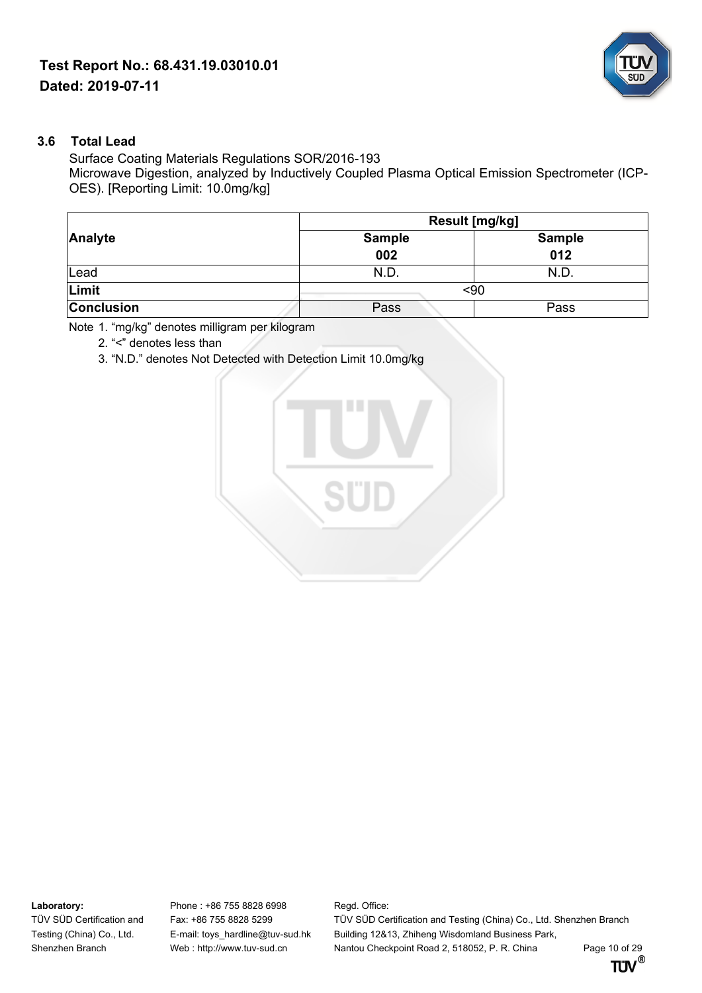

## **3.6 Total Lead**

Surface Coating Materials Regulations SOR/2016-193 Microwave Digestion, analyzed by Inductively Coupled Plasma Optical Emission Spectrometer (ICP-OES). [Reporting Limit: 10.0mg/kg]

|                   |               | <b>Result [mg/kg]</b> |  |  |  |  |
|-------------------|---------------|-----------------------|--|--|--|--|
| Analyte           | <b>Sample</b> | <b>Sample</b>         |  |  |  |  |
|                   | 002           | 012                   |  |  |  |  |
| Lead              | N.D.          | N.D.                  |  |  |  |  |
| Limit             |               | <90                   |  |  |  |  |
| <b>Conclusion</b> | Pass          | Pass                  |  |  |  |  |

Note 1. "mg/kg" denotes milligram per kilogram

2. "<" denotes less than

3. "N.D." denotes Not Detected with Detection Limit 10.0mg/kg



**Laboratory:** Phone : +86 755 8828 6998 Regd. Office:

TÜV SÜD Certification and Fax: +86 755 8828 5299 TÜV SÜD Certification and Testing (China) Co., Ltd. Shenzhen Branch Testing (China) Co., Ltd. E-mail: toys\_hardline@tuv-sud.hk Building 12&13, Zhiheng Wisdomland Business Park, Shenzhen Branch Web : http://www.tuv-sud.cn Nantou Checkpoint Road 2, 518052, P. R. China Page 10 of 29<br>**TTIV**<sup>®</sup>

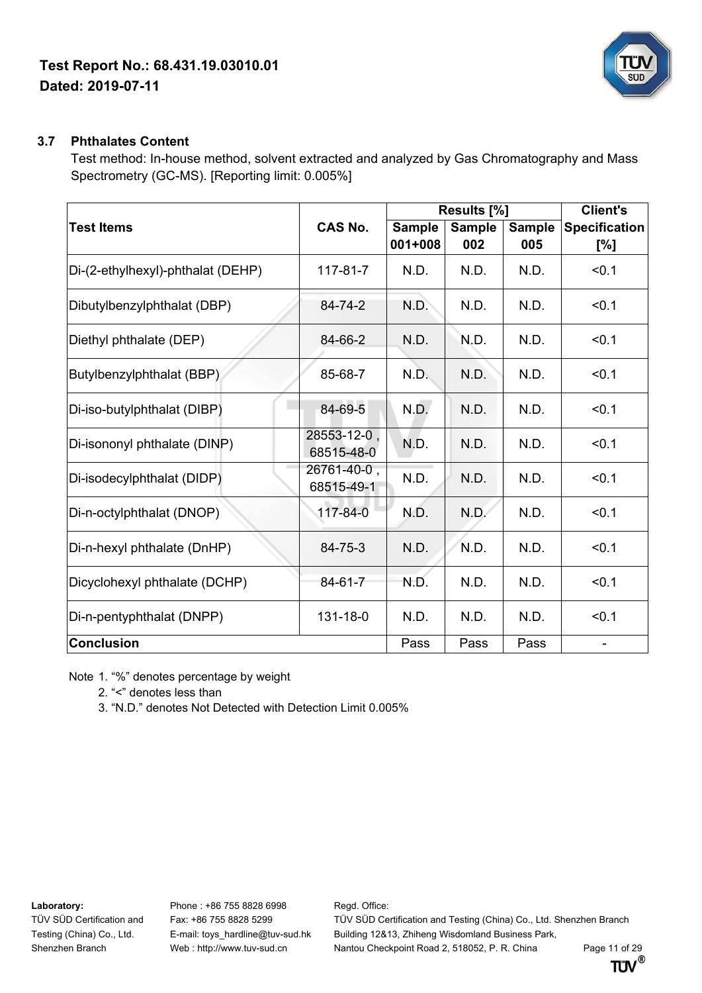

# **3.7 Phthalates Content**

Test method: In-house method, solvent extracted and analyzed by Gas Chromatography and Mass Spectrometry (GC-MS). [Reporting limit: 0.005%]

|                                   |                           | Results [%]   |               |               | <b>Client's</b>      |
|-----------------------------------|---------------------------|---------------|---------------|---------------|----------------------|
| <b>Test Items</b>                 | <b>CAS No.</b>            | <b>Sample</b> | <b>Sample</b> | <b>Sample</b> | <b>Specification</b> |
|                                   |                           | 001+008       | 002           | 005           | [%]                  |
| Di-(2-ethylhexyl)-phthalat (DEHP) | 117-81-7                  | N.D.          | N.D.          | N.D.          | < 0.1                |
| Dibutylbenzylphthalat (DBP)       | 84-74-2                   | N.D.          | N.D.          | N.D.          | < 0.1                |
| Diethyl phthalate (DEP)           | 84-66-2                   | N.D.          | N.D.          | N.D.          | < 0.1                |
| Butylbenzylphthalat (BBP)         | 85-68-7                   | N.D.          | N.D.          | N.D.          | < 0.1                |
| Di-iso-butylphthalat (DIBP)       | 84-69-5                   | N.D.          | N.D.          | N.D.          | < 0.1                |
| Di-isononyl phthalate (DINP)      | 28553-12-0,<br>68515-48-0 | N.D.          | N.D.          | N.D.          | < 0.1                |
| Di-isodecylphthalat (DIDP)        | 26761-40-0,<br>68515-49-1 | N.D.          | N.D.          | N.D.          | < 0.1                |
| Di-n-octylphthalat (DNOP)         | 117-84-0                  | N.D.          | N.D.          | N.D.          | < 0.1                |
| Di-n-hexyl phthalate (DnHP)       | 84-75-3                   | N.D.          | N.D.          | N.D.          | < 0.1                |
| Dicyclohexyl phthalate (DCHP)     | 84-61-7                   | N.D.          | N.D.          | N.D.          | < 0.1                |
| Di-n-pentyphthalat (DNPP)         | 131-18-0                  | N.D.          | N.D.          | N.D.          | < 0.1                |
| <b>Conclusion</b>                 |                           | Pass          | Pass          | Pass          |                      |

Note 1. "%" denotes percentage by weight

- 2. "<" denotes less than
- 3. "N.D." denotes Not Detected with Detection Limit 0.005%

Laboratory: Phone : +86 755 8828 6998 Regd. Office:

TÜV SÜD Certification and Fax: +86 755 8828 5299 TÜV SÜD Certification and Testing (China) Co., Ltd. Shenzhen Branch Testing (China) Co., Ltd. E-mail: toys\_hardline@tuv-sud.hk Building 12&13, Zhiheng Wisdomland Business Park, Shenzhen Branch Web : http://www.tuv-sud.cn Nantou Checkpoint Road 2, 518052, P. R. China Page 11 of 29<br>**TI'M<sup>®</sup> TI'** 

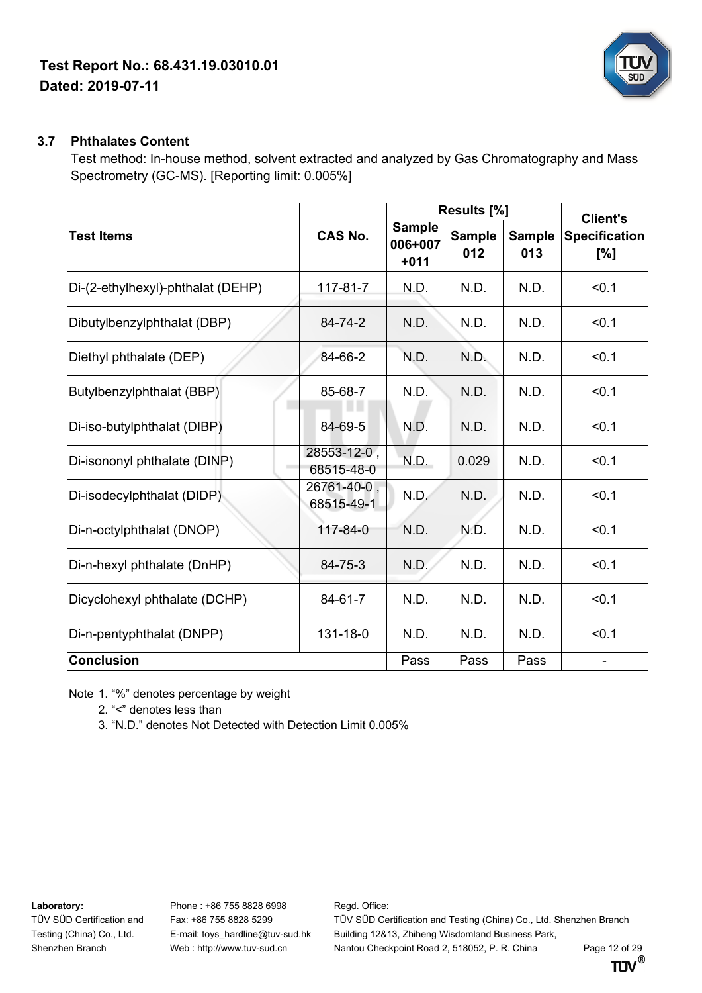

# **3.7 Phthalates Content**

Test method: In-house method, solvent extracted and analyzed by Gas Chromatography and Mass Spectrometry (GC-MS). [Reporting limit: 0.005%]

|                                   |                           |                                    | Results [%]          |                      | <b>Client's</b>             |
|-----------------------------------|---------------------------|------------------------------------|----------------------|----------------------|-----------------------------|
| <b>Test Items</b>                 | <b>CAS No.</b>            | <b>Sample</b><br>006+007<br>$+011$ | <b>Sample</b><br>012 | <b>Sample</b><br>013 | <b>Specification</b><br>[%] |
| Di-(2-ethylhexyl)-phthalat (DEHP) | 117-81-7                  | N.D.                               | N.D.                 | N.D.                 | < 0.1                       |
| Dibutylbenzylphthalat (DBP)       | 84-74-2                   | N.D.                               | N.D.                 | N.D.                 | < 0.1                       |
| Diethyl phthalate (DEP)           | 84-66-2                   | N.D.                               | N.D.                 | N.D.                 | < 0.1                       |
| Butylbenzylphthalat (BBP)         | 85-68-7                   | N.D.                               | N.D.                 | N.D.                 | < 0.1                       |
| Di-iso-butylphthalat (DIBP)       | 84-69-5                   | N.D.                               | N.D.                 | N.D.                 | < 0.1                       |
| Di-isononyl phthalate (DINP)      | 28553-12-0,<br>68515-48-0 | N.D.                               | 0.029                | N.D.                 | < 0.1                       |
| Di-isodecylphthalat (DIDP)        | 26761-40-0<br>68515-49-1  | N.D.                               | N.D.                 | N.D.                 | < 0.1                       |
| Di-n-octylphthalat (DNOP)         | 117-84-0                  | N.D.                               | N.D.                 | N.D.                 | < 0.1                       |
| Di-n-hexyl phthalate (DnHP)       | 84-75-3                   | N.D.                               | N.D.                 | N.D.                 | < 0.1                       |
| Dicyclohexyl phthalate (DCHP)     | 84-61-7                   | N.D.                               | N.D.                 | N.D.                 | < 0.1                       |
| Di-n-pentyphthalat (DNPP)         | 131-18-0                  | N.D.                               | N.D.                 | N.D.                 | < 0.1                       |
| <b>Conclusion</b>                 |                           | Pass                               | Pass                 | Pass                 |                             |

Note 1. "%" denotes percentage by weight

- 2. "<" denotes less than
- 3. "N.D." denotes Not Detected with Detection Limit 0.005%

Laboratory: Phone : +86 755 8828 6998 Regd. Office:

TÜV SÜD Certification and Fax: +86 755 8828 5299 TÜV SÜD Certification and Testing (China) Co., Ltd. Shenzhen Branch Testing (China) Co., Ltd. E-mail: toys\_hardline@tuv-sud.hk Building 12&13, Zhiheng Wisdomland Business Park, Shenzhen Branch Web : http://www.tuv-sud.cn Nantou Checkpoint Road 2, 518052, P. R. China Page 12 of 29<br>**TTIV**<sup>®</sup>

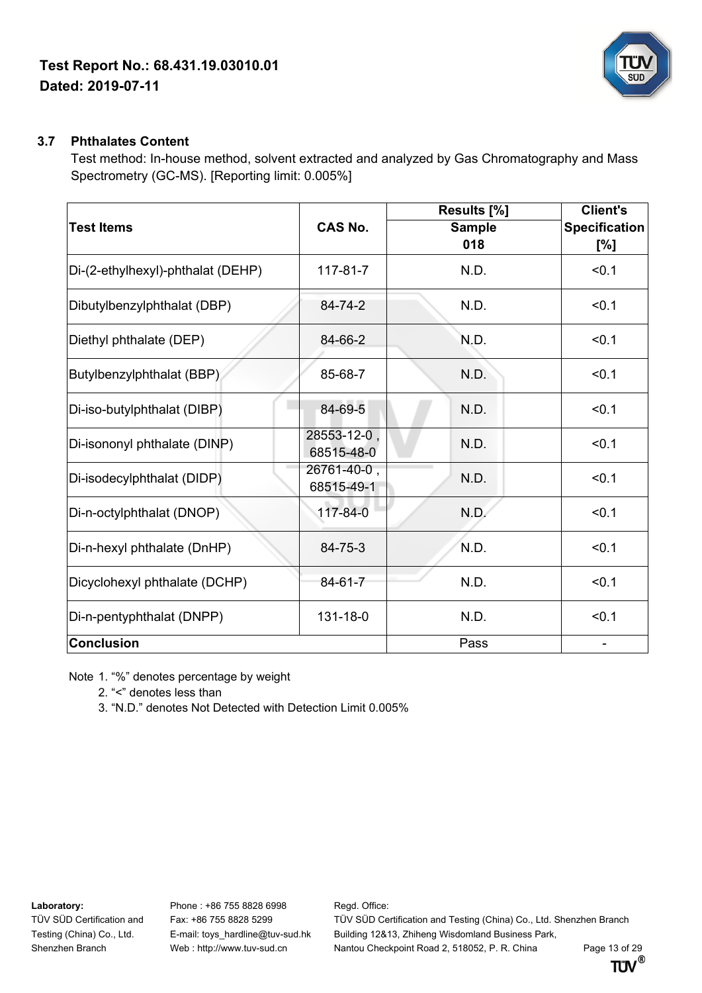

# **3.7 Phthalates Content**

Test method: In-house method, solvent extracted and analyzed by Gas Chromatography and Mass Spectrometry (GC-MS). [Reporting limit: 0.005%]

|                                   |                           | Results [%]   | <b>Client's</b>      |
|-----------------------------------|---------------------------|---------------|----------------------|
| <b>Test Items</b>                 | <b>CAS No.</b>            | <b>Sample</b> | <b>Specification</b> |
|                                   |                           | 018           | [%]                  |
| Di-(2-ethylhexyl)-phthalat (DEHP) | 117-81-7                  | N.D.          | < 0.1                |
| Dibutylbenzylphthalat (DBP)       | 84-74-2                   | N.D.          | < 0.1                |
| Diethyl phthalate (DEP)           | 84-66-2                   | N.D.          | < 0.1                |
| Butylbenzylphthalat (BBP)         | 85-68-7                   | N.D.          | < 0.1                |
| Di-iso-butylphthalat (DIBP)       | 84-69-5                   | N.D.          | < 0.1                |
| Di-isononyl phthalate (DINP)      | 28553-12-0,<br>68515-48-0 | N.D.          | < 0.1                |
| Di-isodecylphthalat (DIDP)        | 26761-40-0,<br>68515-49-1 | N.D.          | < 0.1                |
| Di-n-octylphthalat (DNOP)         | 117-84-0                  | N.D.          | < 0.1                |
| Di-n-hexyl phthalate (DnHP)       | 84-75-3                   | N.D.          | < 0.1                |
| Dicyclohexyl phthalate (DCHP)     | 84-61-7                   | N.D.          | < 0.1                |
| Di-n-pentyphthalat (DNPP)         | 131-18-0                  | N.D.          | < 0.1                |
| <b>Conclusion</b>                 |                           | Pass          |                      |

Note 1. "%" denotes percentage by weight

- 2. "<" denotes less than
- 3. "N.D." denotes Not Detected with Detection Limit 0.005%

Laboratory: Phone : +86 755 8828 6998 Regd. Office:

TÜV SÜD Certification and Fax: +86 755 8828 5299 TÜV SÜD Certification and Testing (China) Co., Ltd. Shenzhen Branch Testing (China) Co., Ltd. E-mail: toys\_hardline@tuv-sud.hk Building 12&13, Zhiheng Wisdomland Business Park, Shenzhen Branch Web : http://www.tuv-sud.cn Nantou Checkpoint Road 2, 518052, P. R. China Page 13 of 29<br>**TTIV**<sup>®</sup>

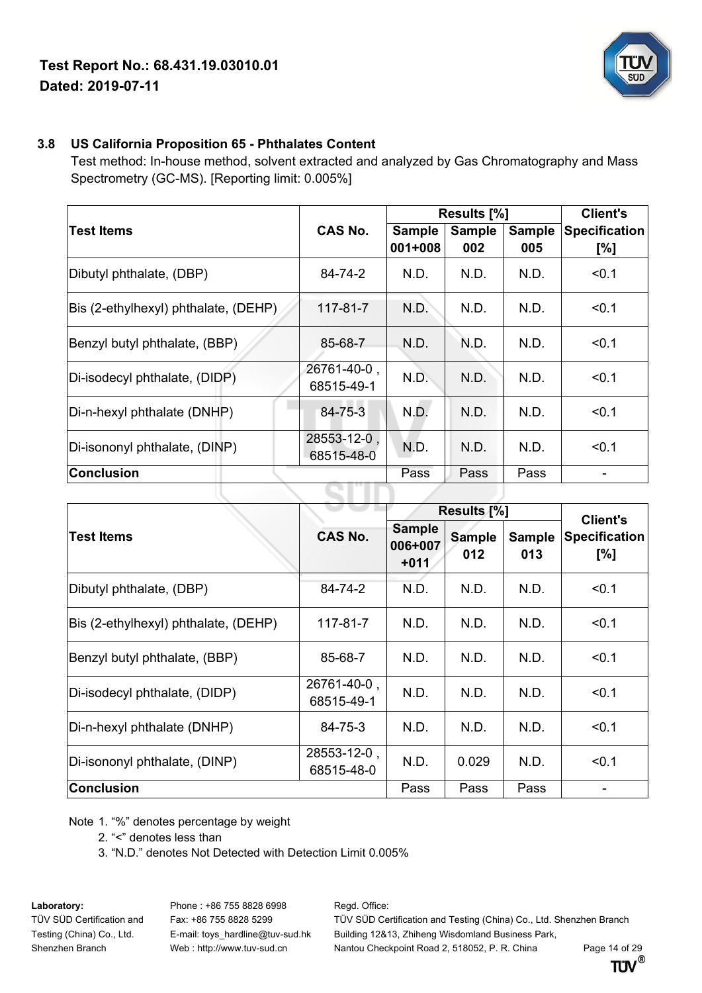

# **3.8 US California Proposition 65 - Phthalates Content**

Test method: In-house method, solvent extracted and analyzed by Gas Chromatography and Mass Spectrometry (GC-MS). [Reporting limit: 0.005%]

|                                      |                           |                            | Results [%]          | <b>Client's</b>      |                             |
|--------------------------------------|---------------------------|----------------------------|----------------------|----------------------|-----------------------------|
| <b>Test Items</b>                    | <b>CAS No.</b>            | <b>Sample</b><br>$001+008$ | <b>Sample</b><br>002 | <b>Sample</b><br>005 | <b>Specification</b><br>[%] |
| Dibutyl phthalate, (DBP)             | 84-74-2                   | N.D.                       | N.D.                 | N.D.                 | < 0.1                       |
| Bis (2-ethylhexyl) phthalate, (DEHP) | 117-81-7                  | N.D.                       | N.D.                 | N.D.                 | < 0.1                       |
| Benzyl butyl phthalate, (BBP)        | 85-68-7                   | N.D.                       | N.D.                 | N.D.                 | < 0.1                       |
| Di-isodecyl phthalate, (DIDP)        | 26761-40-0<br>68515-49-1  | N.D.                       | N.D.                 | N.D.                 | < 0.1                       |
| Di-n-hexyl phthalate (DNHP)          | 84-75-3                   | N.D.                       | N.D.                 | N.D.                 | < 0.1                       |
| Di-isononyl phthalate, (DINP)        | 28553-12-0,<br>68515-48-0 | N.D.                       | N.D.                 | N.D.                 | < 0.1                       |
| <b>Conclusion</b>                    |                           | Pass                       | Pass                 | Pass                 |                             |
|                                      |                           |                            |                      |                      |                             |

|                                      |                           | Results [%]                        |                      |                      | <b>Client's</b>             |  |
|--------------------------------------|---------------------------|------------------------------------|----------------------|----------------------|-----------------------------|--|
| <b>Test Items</b>                    | <b>CAS No.</b>            | <b>Sample</b><br>006+007<br>$+011$ | <b>Sample</b><br>012 | <b>Sample</b><br>013 | <b>Specification</b><br>[%] |  |
| Dibutyl phthalate, (DBP)             | 84-74-2                   | N.D.                               | N.D.                 | N.D.                 | < 0.1                       |  |
| Bis (2-ethylhexyl) phthalate, (DEHP) | 117-81-7                  | N.D.                               | N.D.                 | N.D.                 | < 0.1                       |  |
| Benzyl butyl phthalate, (BBP)        | 85-68-7                   | N.D.                               | N.D.                 | N.D.                 | < 0.1                       |  |
| Di-isodecyl phthalate, (DIDP)        | 26761-40-0,<br>68515-49-1 | N.D.                               | N.D.                 | N.D.                 | < 0.1                       |  |
| Di-n-hexyl phthalate (DNHP)          | 84-75-3                   | N.D.                               | N.D.                 | N.D.                 | < 0.1                       |  |
| Di-isononyl phthalate, (DINP)        | 28553-12-0,<br>68515-48-0 | N.D.                               | 0.029                | N.D.                 | < 0.1                       |  |
| <b>Conclusion</b>                    |                           | Pass                               | Pass                 | Pass                 |                             |  |

Note 1. "%" denotes percentage by weight

- 2. "<" denotes less than
- 3. "N.D." denotes Not Detected with Detection Limit 0.005%

**Laboratory:** Phone : +86 755 8828 6998 Regd. Office:

TÜV SÜD Certification and Fax: +86 755 8828 5299 TÜV SÜD Certification and Testing (China) Co., Ltd. Shenzhen Branch Testing (China) Co., Ltd. E-mail: toys hardline@tuv-sud.hk Building 12&13, Zhiheng Wisdomland Business Park, Shenzhen Branch Web : http://www.tuv-sud.cn Nantou Checkpoint Road 2, 518052, P. R. China Page 14 of 29<br>**TI'M<sup>®</sup> TI'** 

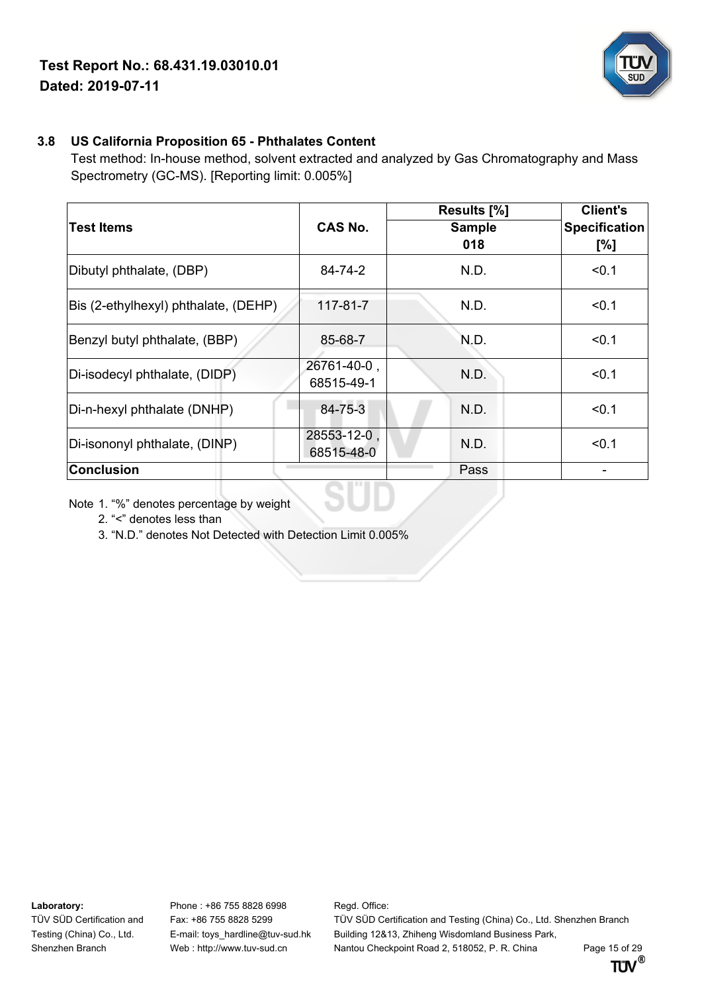

### **3.8 US California Proposition 65 - Phthalates Content**

Test method: In-house method, solvent extracted and analyzed by Gas Chromatography and Mass Spectrometry (GC-MS). [Reporting limit: 0.005%]

|                                      |                | Results [%]   | <b>Client's</b>      |  |
|--------------------------------------|----------------|---------------|----------------------|--|
| <b>Test Items</b>                    | <b>CAS No.</b> | <b>Sample</b> | <b>Specification</b> |  |
|                                      |                | 018           | [%]                  |  |
| Dibutyl phthalate, (DBP)             | 84-74-2        | N.D.          | < 0.1                |  |
| Bis (2-ethylhexyl) phthalate, (DEHP) | $117 - 81 - 7$ | N.D.          | < 0.1                |  |
| Benzyl butyl phthalate, (BBP)        | 85-68-7        | N.D.          | < 0.1                |  |
| Di-isodecyl phthalate, (DIDP)        | 26761-40-0,    | N.D.          | < 0.1                |  |
|                                      | 68515-49-1     |               |                      |  |
| Di-n-hexyl phthalate (DNHP)          | 84-75-3        | N.D.          | < 0.1                |  |
|                                      | 28553-12-0,    | N.D.          | < 0.1                |  |
| Di-isononyl phthalate, (DINP)        | 68515-48-0     |               |                      |  |
| <b>Conclusion</b>                    |                | Pass          |                      |  |

Note 1. "%" denotes percentage by weight

- 2. "<" denotes less than
- 3. "N.D." denotes Not Detected with Detection Limit 0.005%

Laboratory: Phone : +86 755 8828 6998 Regd. Office:

TÜV SÜD Certification and Fax: +86 755 8828 5299 TÜV SÜD Certification and Testing (China) Co., Ltd. Shenzhen Branch Testing (China) Co., Ltd. E-mail: toys\_hardline@tuv-sud.hk Building 12&13, Zhiheng Wisdomland Business Park, Shenzhen Branch Web : http://www.tuv-sud.cn Nantou Checkpoint Road 2, 518052, P. R. China Page 15 of 29<br>**TI'M/**<sup>®</sup>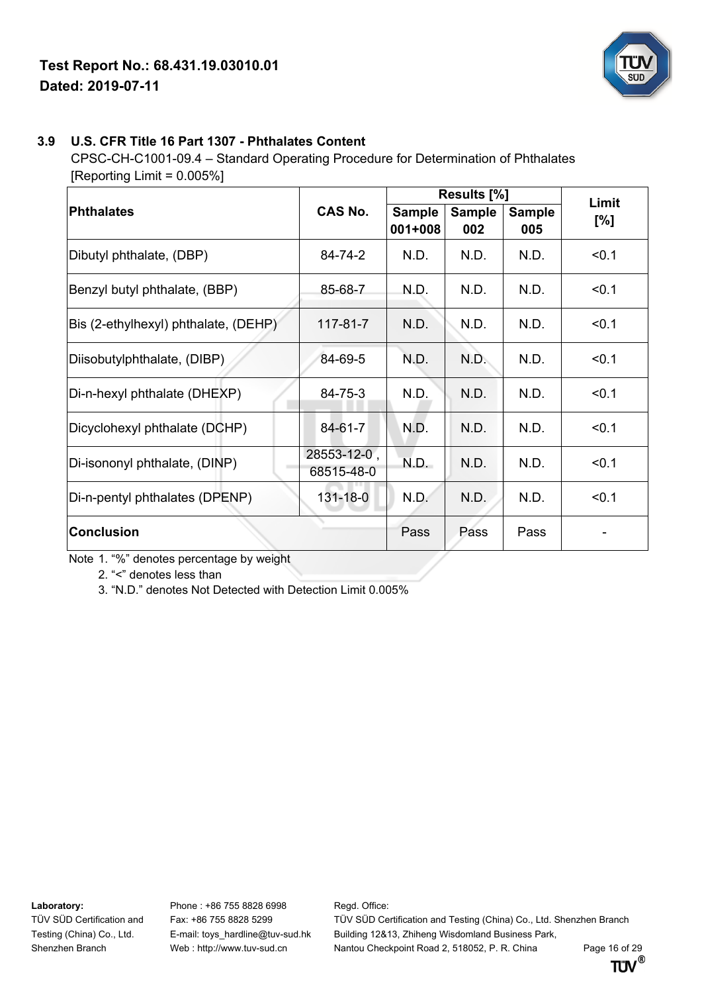

### **3.9 U.S. CFR Title 16 Part 1307 - Phthalates Content**

CPSC-CH-C1001-09.4 – Standard Operating Procedure for Determination of Phthalates [Reporting Limit = 0.005%]

|                                      |                           | Results [%]              |                      |                      | Limit |
|--------------------------------------|---------------------------|--------------------------|----------------------|----------------------|-------|
| <b>Phthalates</b>                    | <b>CAS No.</b>            | <b>Sample</b><br>001+008 | <b>Sample</b><br>002 | <b>Sample</b><br>005 | [%]   |
| Dibutyl phthalate, (DBP)             | 84-74-2                   | N.D.                     | N.D.                 | N.D.                 | < 0.1 |
| Benzyl butyl phthalate, (BBP)        | 85-68-7                   | N.D.                     | N.D.                 | N.D.                 | < 0.1 |
| Bis (2-ethylhexyl) phthalate, (DEHP) | $117 - 81 - 7$            | N.D.                     | N.D.                 | N.D.                 | < 0.1 |
| Diisobutylphthalate, (DIBP)          | 84-69-5                   | N.D.                     | N.D.                 | N.D.                 | < 0.1 |
| Di-n-hexyl phthalate (DHEXP)         | 84-75-3                   | N.D.                     | N.D.                 | N.D.                 | < 0.1 |
| Dicyclohexyl phthalate (DCHP)        | 84-61-7                   | N.D.                     | N.D.                 | N.D.                 | < 0.1 |
| Di-isononyl phthalate, (DINP)        | 28553-12-0,<br>68515-48-0 | N.D.                     | N.D.                 | N.D.                 | < 0.1 |
| Di-n-pentyl phthalates (DPENP)       | 131-18-0                  | N.D.                     | N.D.                 | N.D.                 | < 0.1 |
| <b>Conclusion</b>                    |                           | Pass                     | Pass                 | Pass                 |       |

Note 1. "%" denotes percentage by weight

2. "<" denotes less than

3. "N.D." denotes Not Detected with Detection Limit 0.005%

Laboratory: Phone : +86 755 8828 6998 Regd. Office:

TÜV SÜD Certification and Fax: +86 755 8828 5299 TÜV SÜD Certification and Testing (China) Co., Ltd. Shenzhen Branch Testing (China) Co., Ltd. E-mail: toys\_hardline@tuv-sud.hk Building 12&13, Zhiheng Wisdomland Business Park, Shenzhen Branch Web : http://www.tuv-sud.cn Nantou Checkpoint Road 2, 518052, P. R. China Page 16 of 29<br>**TTIV**<sup>®</sup>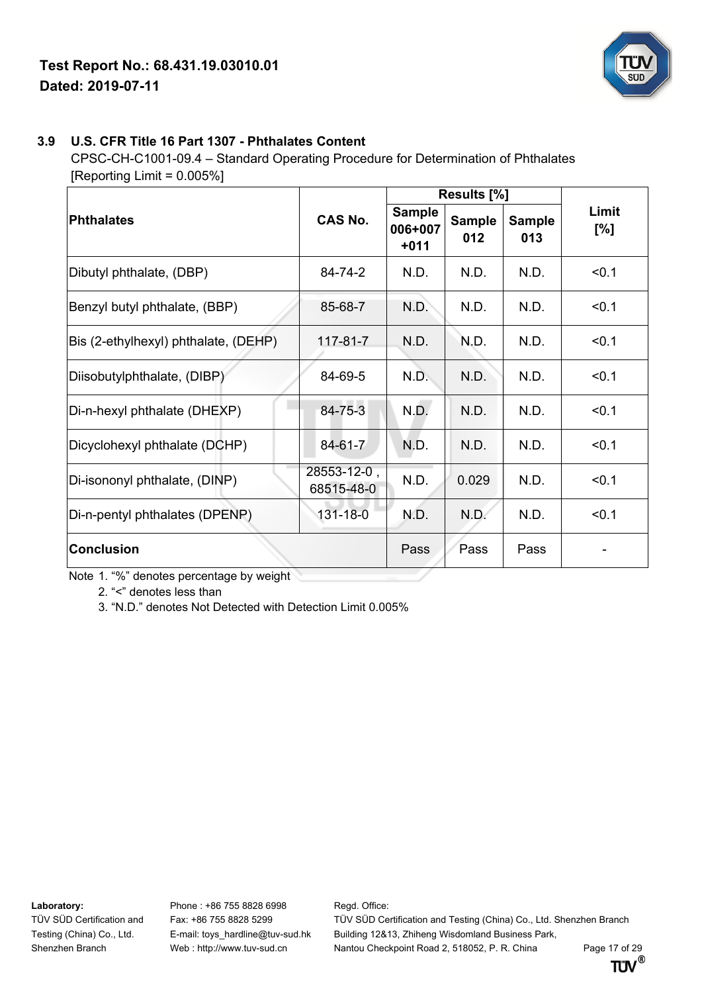

### **3.9 U.S. CFR Title 16 Part 1307 - Phthalates Content**

CPSC-CH-C1001-09.4 – Standard Operating Procedure for Determination of Phthalates [Reporting Limit = 0.005%]

|                                      |                           | Results [%]                        |                      |                      |              |
|--------------------------------------|---------------------------|------------------------------------|----------------------|----------------------|--------------|
| Phthalates                           | <b>CAS No.</b>            | <b>Sample</b><br>006+007<br>$+011$ | <b>Sample</b><br>012 | <b>Sample</b><br>013 | Limit<br>[%] |
| Dibutyl phthalate, (DBP)             | 84-74-2                   | N.D.                               | N.D.                 | N.D.                 | < 0.1        |
| Benzyl butyl phthalate, (BBP)        | 85-68-7                   | N.D.                               | N.D.                 | N.D.                 | < 0.1        |
| Bis (2-ethylhexyl) phthalate, (DEHP) | 117-81-7                  | N.D.                               | N.D.                 | N.D.                 | < 0.1        |
| Diisobutylphthalate, (DIBP)          | 84-69-5                   | N.D.                               | N.D.                 | N.D.                 | < 0.1        |
| Di-n-hexyl phthalate (DHEXP)         | 84-75-3                   | N.D.                               | N.D.                 | N.D.                 | < 0.1        |
| Dicyclohexyl phthalate (DCHP)        | 84-61-7                   | N.D.                               | N.D.                 | N.D.                 | < 0.1        |
| Di-isononyl phthalate, (DINP)        | 28553-12-0,<br>68515-48-0 | N.D.                               | 0.029                | N.D.                 | < 0.1        |
| Di-n-pentyl phthalates (DPENP)       | 131-18-0                  | N.D.                               | N.D.                 | N.D.                 | < 0.1        |
| <b>Conclusion</b>                    |                           | Pass                               | Pass                 | Pass                 |              |

Note 1. "%" denotes percentage by weight

2. "<" denotes less than

3. "N.D." denotes Not Detected with Detection Limit 0.005%

Laboratory: Phone : +86 755 8828 6998 Regd. Office:

TÜV SÜD Certification and Fax: +86 755 8828 5299 TÜV SÜD Certification and Testing (China) Co., Ltd. Shenzhen Branch Testing (China) Co., Ltd. E-mail: toys\_hardline@tuv-sud.hk Building 12&13, Zhiheng Wisdomland Business Park, Shenzhen Branch Web : http://www.tuv-sud.cn Nantou Checkpoint Road 2, 518052, P. R. China Page 17 of 29<br>**TTIV** 

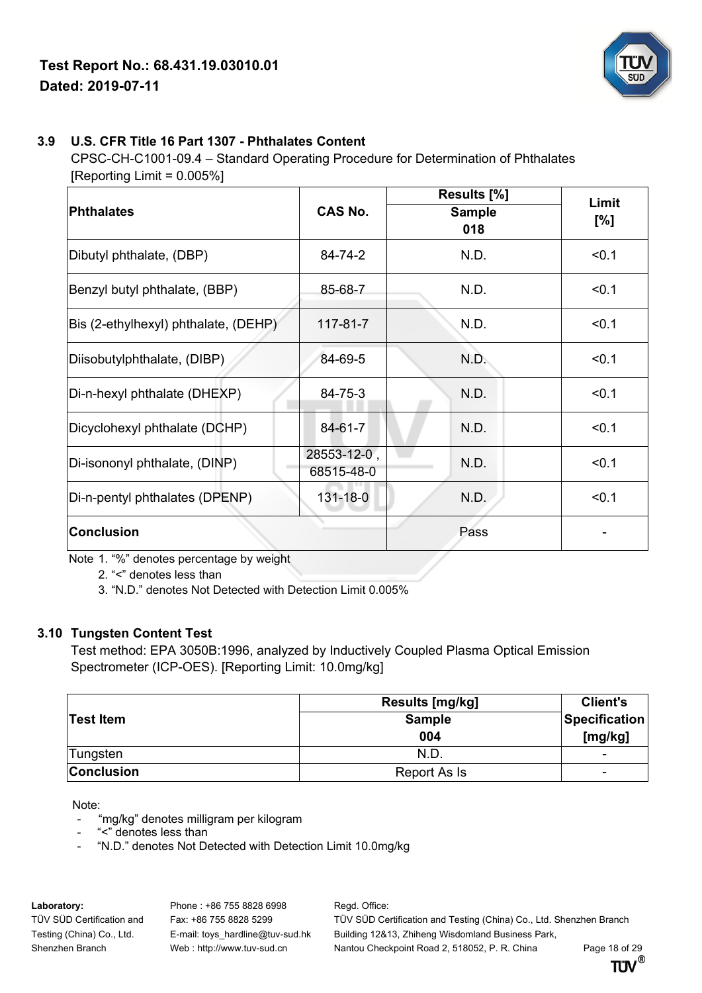

## **3.9 U.S. CFR Title 16 Part 1307 - Phthalates Content**

CPSC-CH-C1001-09.4 – Standard Operating Procedure for Determination of Phthalates [Reporting Limit = 0.005%]

|                                      |                | Results [%]   | Limit |
|--------------------------------------|----------------|---------------|-------|
| <b>Phthalates</b>                    | <b>CAS No.</b> | <b>Sample</b> | [%]   |
|                                      |                | 018           |       |
| Dibutyl phthalate, (DBP)             | 84-74-2        | N.D.          | < 0.1 |
| Benzyl butyl phthalate, (BBP)        | 85-68-7        | N.D.          | < 0.1 |
| Bis (2-ethylhexyl) phthalate, (DEHP) | $117 - 81 - 7$ | N.D.          | < 0.1 |
| Diisobutylphthalate, (DIBP)          | 84-69-5        | N.D.          | < 0.1 |
| Di-n-hexyl phthalate (DHEXP)         | 84-75-3        | N.D.          | < 0.1 |
| Dicyclohexyl phthalate (DCHP)        | 84-61-7        | N.D.          | < 0.1 |
| Di-isononyl phthalate, (DINP)        | 28553-12-0,    | N.D.          | < 0.1 |
|                                      | 68515-48-0     |               |       |
| Di-n-pentyl phthalates (DPENP)       | 131-18-0       | N.D.          | < 0.1 |
| <b>Conclusion</b>                    |                | Pass          |       |

Note 1. "%" denotes percentage by weight

2. "<" denotes less than

3. "N.D." denotes Not Detected with Detection Limit 0.005%

### **3.10 Tungsten Content Test**

Test method: EPA 3050B:1996, analyzed by Inductively Coupled Plasma Optical Emission Spectrometer (ICP-OES). [Reporting Limit: 10.0mg/kg]

|                   | Results [mg/kg] | Client's      |
|-------------------|-----------------|---------------|
| ∣Test Item        | <b>Sample</b>   | Specification |
|                   | 004             | [mg/kg]       |
| Tungsten          | N.D.            | -             |
| <b>Conclusion</b> | Report As Is    | -             |

Note:

- "mg/kg" denotes milligram per kilogram
- "<" denotes less than
- "N.D." denotes Not Detected with Detection Limit 10.0mg/kg

Laboratory: Phone : +86 755 8828 6998 Regd. Office:

TÜV SÜD Certification and Fax: +86 755 8828 5299 TÜV SÜD Certification and Testing (China) Co., Ltd. Shenzhen Branch Testing (China) Co., Ltd. E-mail: toys hardline@tuv-sud.hk Building 12&13, Zhiheng Wisdomland Business Park, Shenzhen Branch Web : http://www.tuv-sud.cn Nantou Checkpoint Road 2, 518052, P. R. China Page 18 of 29<br>**TI'M** 

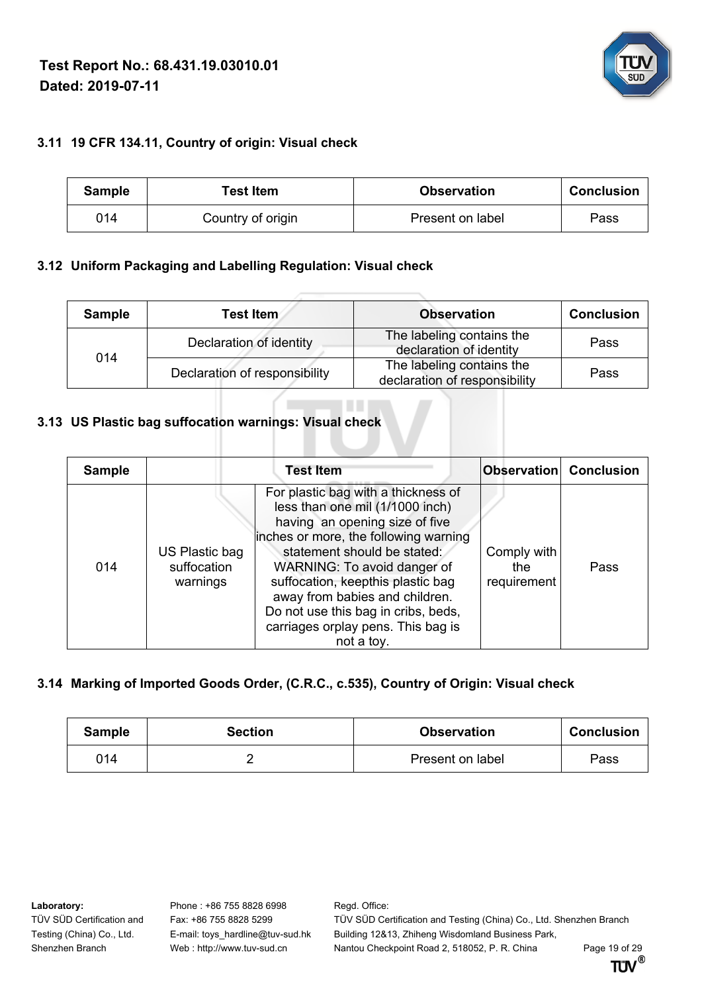

## **3.11 19 CFR 134.11, Country of origin: Visual check**

| <b>Sample</b> | <b>Test Item</b>  | <b>Observation</b> | <b>Conclusion</b> |
|---------------|-------------------|--------------------|-------------------|
| 014           | Country of origin | Present on label   | Pass              |

### **3.12 Uniform Packaging and Labelling Regulation: Visual check**

| <b>Sample</b> | Test Item                     | <b>Observation</b>                                         | <b>Conclusion</b> |
|---------------|-------------------------------|------------------------------------------------------------|-------------------|
|               | Declaration of identity       | The labeling contains the<br>declaration of identity       | Pass              |
| 014           | Declaration of responsibility | The labeling contains the<br>declaration of responsibility | Pass              |

m

# **3.13 US Plastic bag suffocation warnings: Visual check**

| <b>Sample</b> |                                           | <b>Test Item</b>                                                                                                                                                                                                                                                                                                                                                                  | <b>Observation Conclusion</b>     |      |
|---------------|-------------------------------------------|-----------------------------------------------------------------------------------------------------------------------------------------------------------------------------------------------------------------------------------------------------------------------------------------------------------------------------------------------------------------------------------|-----------------------------------|------|
| 014           | US Plastic bag<br>suffocation<br>warnings | For plastic bag with a thickness of<br>less than one mil (1/1000 inch)<br>having an opening size of five<br>inches or more, the following warning<br>statement should be stated:<br>WARNING: To avoid danger of<br>suffocation, keepthis plastic bag<br>away from babies and children.<br>Do not use this bag in cribs, beds,<br>carriages orplay pens. This bag is<br>not a toy. | Comply with<br>the<br>requirement | Pass |

## **3.14 Marking of Imported Goods Order, (C.R.C., c.535), Country of Origin: Visual check**

| <b>Sample</b> | <b>Section</b> | <b>Observation</b> | Conclusion |
|---------------|----------------|--------------------|------------|
| 014           |                | Present on label   | Pass       |

Laboratory: Phone : +86 755 8828 6998 Regd. Office:

TÜV SÜD Certification and Fax: +86 755 8828 5299 TÜV SÜD Certification and Testing (China) Co., Ltd. Shenzhen Branch Testing (China) Co., Ltd. E-mail: toys\_hardline@tuv-sud.hk Building 12&13, Zhiheng Wisdomland Business Park, Shenzhen Branch Web : http://www.tuv-sud.cn Nantou Checkpoint Road 2, 518052, P. R. China Page 19 of 29<br>**TT'M<sup>®</sup>** 

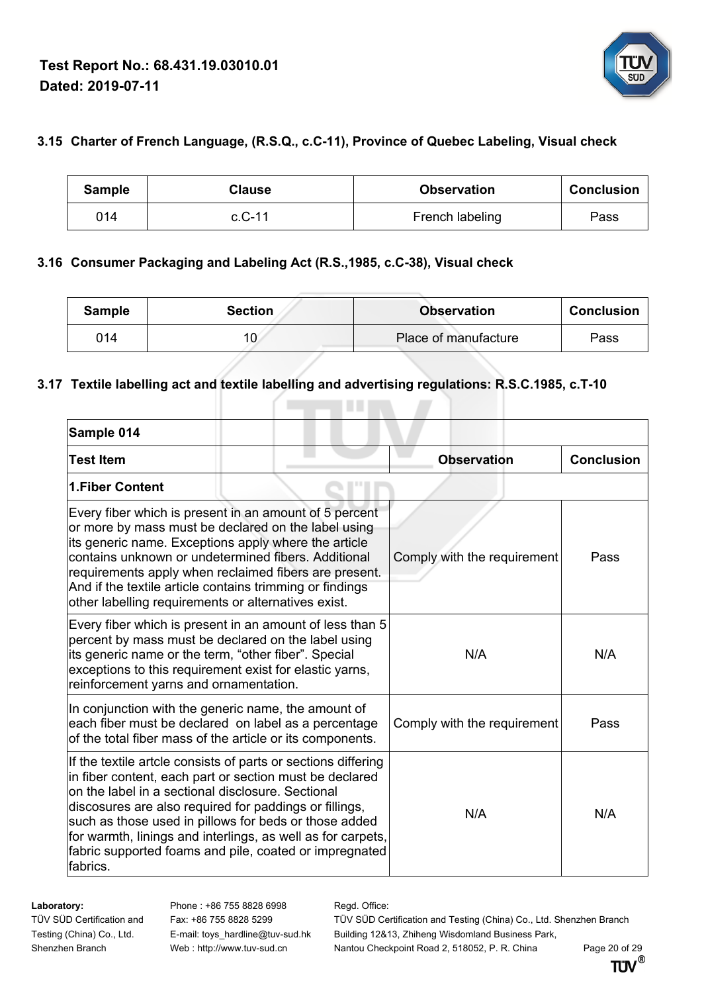

# **3.15 Charter of French Language, (R.S.Q., c.C-11), Province of Quebec Labeling, Visual check**

| <b>Sample</b> | <b>Clause</b> | <b>Observation</b> | <b>Conclusion</b> |
|---------------|---------------|--------------------|-------------------|
| 014           | c.C-11        | French labeling    | Pass              |

### **3.16 Consumer Packaging and Labeling Act (R.S.,1985, c.C-38), Visual check**

| <b>Sample</b> | <b>Section</b> | <b>Observation</b>   | Conclusion |
|---------------|----------------|----------------------|------------|
| 014           |                | Place of manufacture | Pass       |

# **3.17 Textile labelling act and textile labelling and advertising regulations: R.S.C.1985, c.T-10**

| Sample 014                                                                                                                                                                                                                                                                                                                                                                                                                            |                             |                   |
|---------------------------------------------------------------------------------------------------------------------------------------------------------------------------------------------------------------------------------------------------------------------------------------------------------------------------------------------------------------------------------------------------------------------------------------|-----------------------------|-------------------|
| <b>Test Item</b>                                                                                                                                                                                                                                                                                                                                                                                                                      | <b>Observation</b>          | <b>Conclusion</b> |
| <b>1.Fiber Content</b>                                                                                                                                                                                                                                                                                                                                                                                                                |                             |                   |
| Every fiber which is present in an amount of 5 percent<br>or more by mass must be declared on the label using<br>its generic name. Exceptions apply where the article<br>contains unknown or undetermined fibers. Additional<br>requirements apply when reclaimed fibers are present.<br>And if the textile article contains trimming or findings<br>other labelling requirements or alternatives exist.                              | Comply with the requirement | Pass              |
| Every fiber which is present in an amount of less than 5<br>percent by mass must be declared on the label using<br>its generic name or the term, "other fiber". Special<br>exceptions to this requirement exist for elastic yarns,<br>reinforcement yarns and ornamentation.                                                                                                                                                          | N/A                         | N/A               |
| In conjunction with the generic name, the amount of<br>each fiber must be declared on label as a percentage<br>of the total fiber mass of the article or its components.                                                                                                                                                                                                                                                              | Comply with the requirement | Pass              |
| If the textile artcle consists of parts or sections differing<br>in fiber content, each part or section must be declared<br>on the label in a sectional disclosure. Sectional<br>discosures are also required for paddings or fillings,<br>such as those used in pillows for beds or those added<br>for warmth, linings and interlings, as well as for carpets,<br>fabric supported foams and pile, coated or impregnated<br>fabrics. | N/A                         | N/A               |

Laboratory: Phone : +86 755 8828 6998 Regd. Office:

TÜV SÜD Certification and Fax: +86 755 8828 5299 TÜV SÜD Certification and Testing (China) Co., Ltd. Shenzhen Branch Testing (China) Co., Ltd. E-mail: toys\_hardline@tuv-sud.hk Building 12&13, Zhiheng Wisdomland Business Park,

Shenzhen Branch Web : http://www.tuv-sud.cn Nantou Checkpoint Road 2, 518052, P. R. China Page 20 of 29<br>**TTIM<sup>®</sup>** 

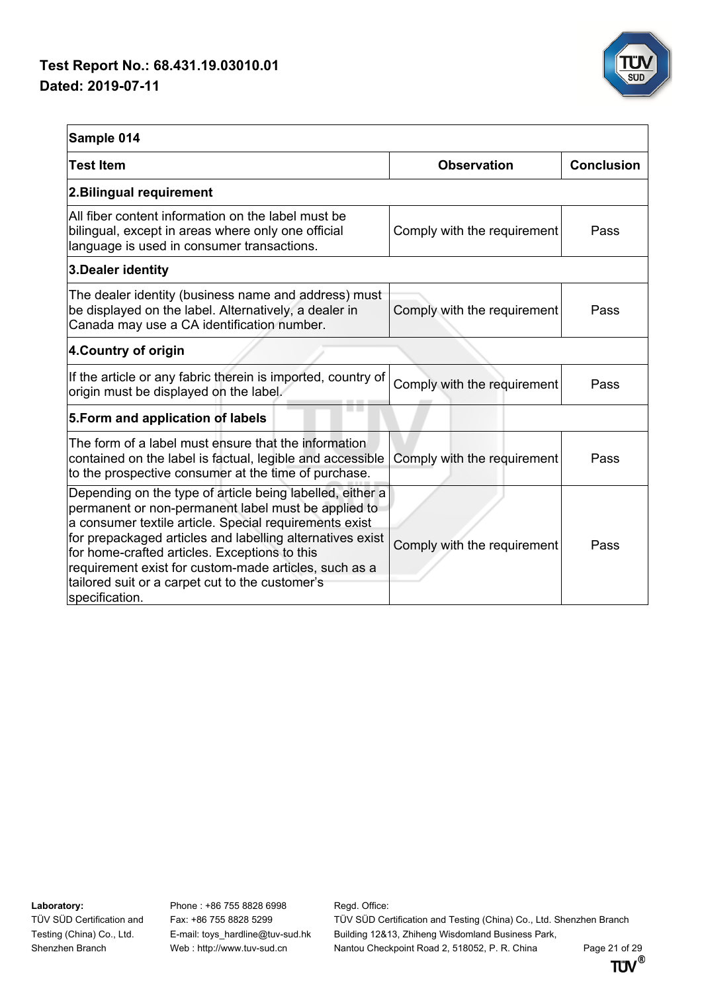

| Sample 014                                                                                                                                                                                                                                                                                                                                                                                                             |                             |                   |  |  |
|------------------------------------------------------------------------------------------------------------------------------------------------------------------------------------------------------------------------------------------------------------------------------------------------------------------------------------------------------------------------------------------------------------------------|-----------------------------|-------------------|--|--|
| <b>Test Item</b>                                                                                                                                                                                                                                                                                                                                                                                                       | <b>Observation</b>          | <b>Conclusion</b> |  |  |
| 2. Bilingual requirement                                                                                                                                                                                                                                                                                                                                                                                               |                             |                   |  |  |
| All fiber content information on the label must be<br>bilingual, except in areas where only one official<br>language is used in consumer transactions.                                                                                                                                                                                                                                                                 | Comply with the requirement | Pass              |  |  |
| 3. Dealer identity                                                                                                                                                                                                                                                                                                                                                                                                     |                             |                   |  |  |
| The dealer identity (business name and address) must<br>be displayed on the label. Alternatively, a dealer in<br>Canada may use a CA identification number.                                                                                                                                                                                                                                                            | Comply with the requirement | Pass              |  |  |
| 4. Country of origin                                                                                                                                                                                                                                                                                                                                                                                                   |                             |                   |  |  |
| If the article or any fabric therein is imported, country of<br>origin must be displayed on the label.                                                                                                                                                                                                                                                                                                                 | Comply with the requirement | Pass              |  |  |
| 5. Form and application of labels                                                                                                                                                                                                                                                                                                                                                                                      |                             |                   |  |  |
| The form of a label must ensure that the information<br>contained on the label is factual, legible and accessible<br>to the prospective consumer at the time of purchase.                                                                                                                                                                                                                                              | Comply with the requirement | Pass              |  |  |
| Depending on the type of article being labelled, either a<br>permanent or non-permanent label must be applied to<br>a consumer textile article. Special requirements exist<br>for prepackaged articles and labelling alternatives exist<br>for home-crafted articles. Exceptions to this<br>requirement exist for custom-made articles, such as a<br>tailored suit or a carpet cut to the customer's<br>specification. | Comply with the requirement | Pass              |  |  |

Laboratory: **Phone : +86 755 8828 6998** Regd. Office:

TÜV SÜD Certification and Fax: +86 755 8828 5299 TÜV SÜD Certification and Testing (China) Co., Ltd. Shenzhen Branch Testing (China) Co., Ltd. E-mail: toys\_hardline@tuv-sud.hk Building 12&13, Zhiheng Wisdomland Business Park, Shenzhen Branch Web : http://www.tuv-sud.cn Nantou Checkpoint Road 2, 518052, P. R. China Page 21 of 29<br>**Till**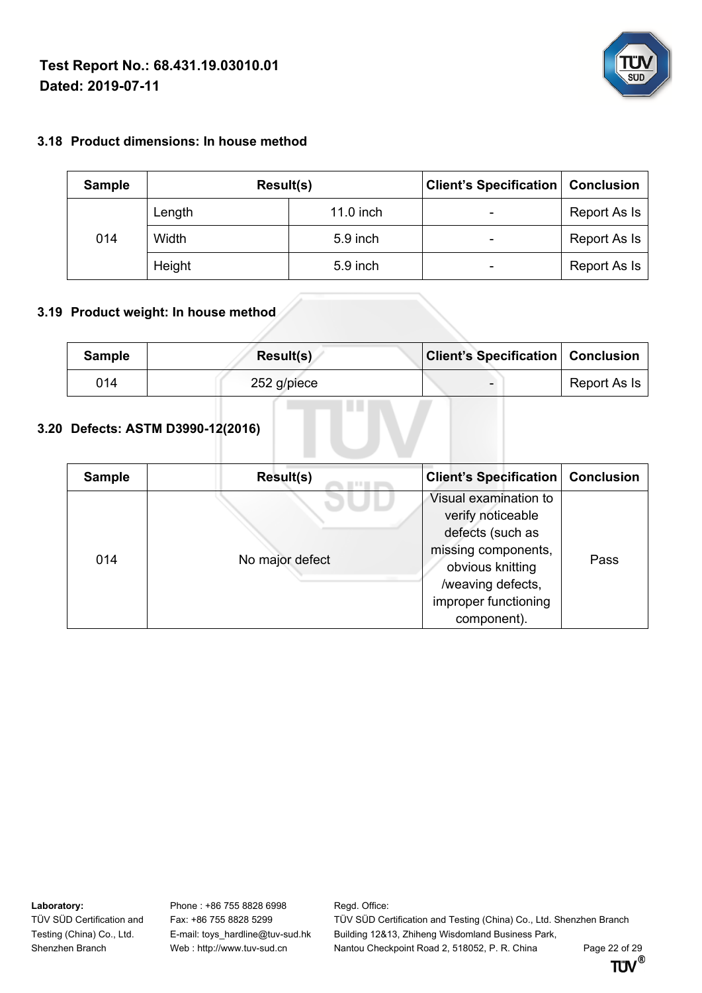

## **3.18 Product dimensions: In house method**

| <b>Sample</b> | Result(s)    |             | <b>Client's Specification</b> | Conclusion   |
|---------------|--------------|-------------|-------------------------------|--------------|
|               | Length       | $11.0$ inch | $\overline{\phantom{a}}$      | Report As Is |
| 014           | <b>Width</b> | $5.9$ inch  |                               | Report As Is |
|               | Height       | $5.9$ inch  | ٠                             | Report As Is |

### **3.19 Product weight: In house method**

| <b>Sample</b> | Result(s)   | <b>Client's Specification Conclusion</b> |              |
|---------------|-------------|------------------------------------------|--------------|
| 014           | 252 g/piece | $\sim$                                   | Report As Is |

# **3.20 Defects: ASTM D3990-12(2016)**

| <b>Sample</b> | <b>Result(s)</b> | <b>Client's Specification</b>                                                                                                                                         | <b>Conclusion</b> |
|---------------|------------------|-----------------------------------------------------------------------------------------------------------------------------------------------------------------------|-------------------|
| 014           | No major defect  | Visual examination to<br>verify noticeable<br>defects (such as<br>missing components,<br>obvious knitting<br>/weaving defects,<br>improper functioning<br>component). | Pass              |

Laboratory: Phone : +86 755 8828 6998 Regd. Office:

TÜV SÜD Certification and Fax: +86 755 8828 5299 TÜV SÜD Certification and Testing (China) Co., Ltd. Shenzhen Branch Testing (China) Co., Ltd. E-mail: toys\_hardline@tuv-sud.hk Building 12&13, Zhiheng Wisdomland Business Park, Shenzhen Branch Web : http://www.tuv-sud.cn Nantou Checkpoint Road 2, 518052, P. R. China Page 22 of 29<br>**TTM<sup>®</sup> TTM** 

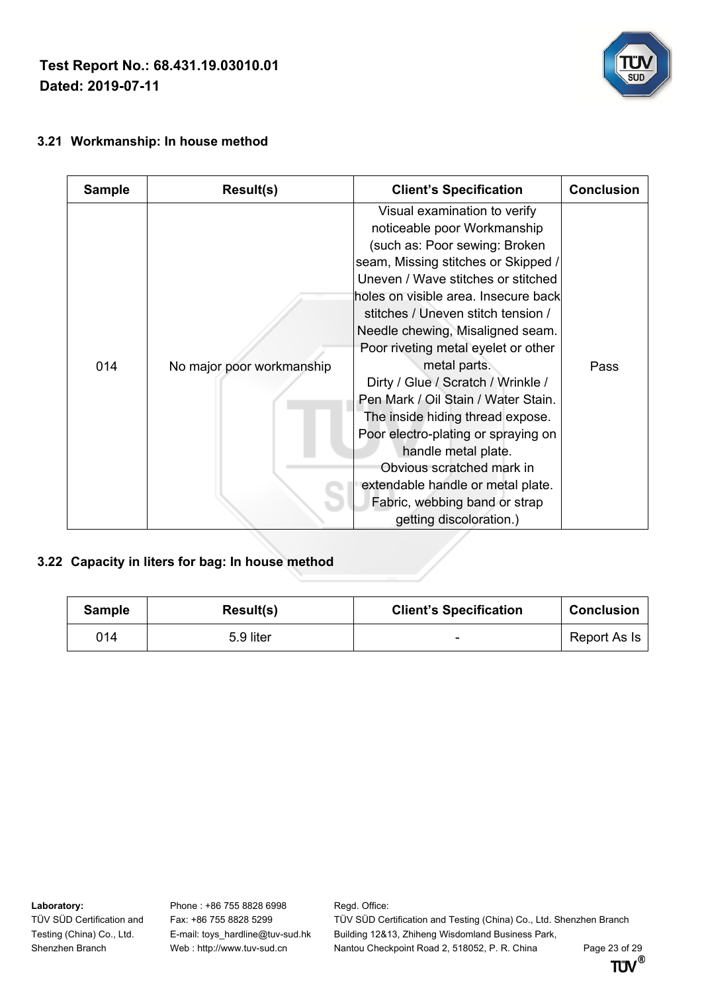

| <b>Sample</b> | <b>Result(s)</b>          | <b>Client's Specification</b>                                                                                                                                                                                                                                                                                                                                                                                                                                                                                                                                                                                                                                   | <b>Conclusion</b> |
|---------------|---------------------------|-----------------------------------------------------------------------------------------------------------------------------------------------------------------------------------------------------------------------------------------------------------------------------------------------------------------------------------------------------------------------------------------------------------------------------------------------------------------------------------------------------------------------------------------------------------------------------------------------------------------------------------------------------------------|-------------------|
| 014           | No major poor workmanship | Visual examination to verify<br>noticeable poor Workmanship<br>(such as: Poor sewing: Broken<br>seam, Missing stitches or Skipped /<br>Uneven / Wave stitches or stitched<br>holes on visible area. Insecure back<br>stitches / Uneven stitch tension /<br>Needle chewing, Misaligned seam.<br>Poor riveting metal eyelet or other<br>metal parts.<br>Dirty / Glue / Scratch / Wrinkle /<br>Pen Mark / Oil Stain / Water Stain.<br>The inside hiding thread expose.<br>Poor electro-plating or spraying on<br>handle metal plate.<br>Obvious scratched mark in<br>extendable handle or metal plate.<br>Fabric, webbing band or strap<br>getting discoloration.) | Pass              |

## **3.21 Workmanship: In house method**

# **3.22 Capacity in liters for bag: In house method**

| <b>Sample</b> | Result(s) | <b>Client's Specification</b> | <b>Conclusion</b> |
|---------------|-----------|-------------------------------|-------------------|
| 014           | 5.9 liter | ۰                             | Report As Is      |

Laboratory: Phone : +86 755 8828 6998 Regd. Office:

TÜV SÜD Certification and Fax: +86 755 8828 5299 TÜV SÜD Certification and Testing (China) Co., Ltd. Shenzhen Branch Testing (China) Co., Ltd. E-mail: toys\_hardline@tuv-sud.hk Building 12&13, Zhiheng Wisdomland Business Park, Shenzhen Branch Web : http://www.tuv-sud.cn Nantou Checkpoint Road 2, 518052, P. R. China Page 23 of 29<br>**TTM<sup>®</sup> TTM** 

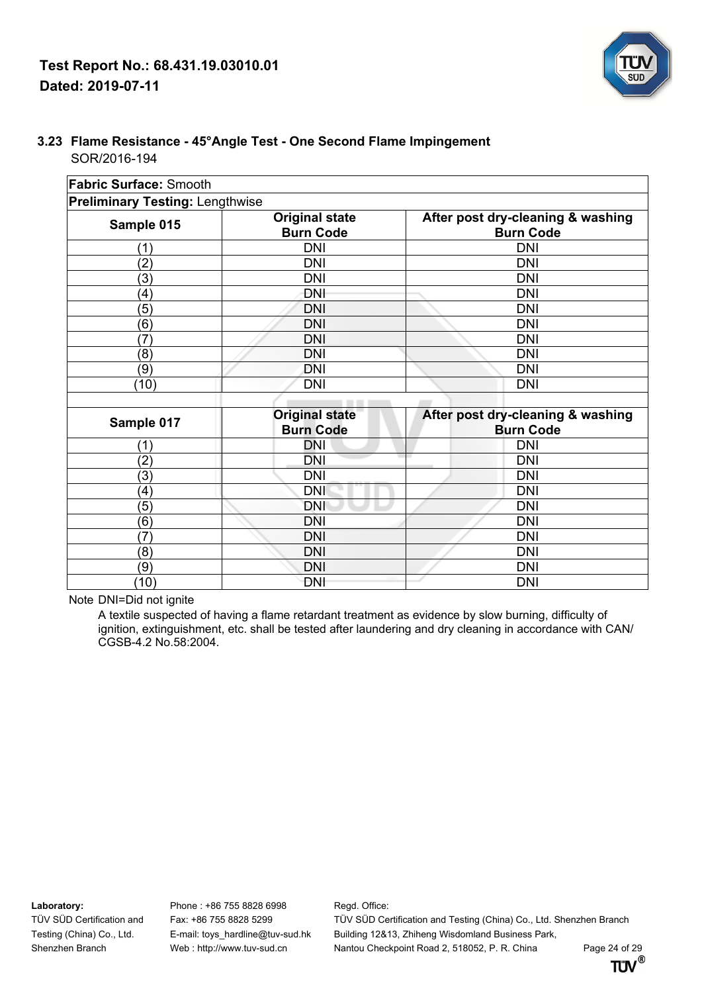

| <b>Fabric Surface: Smooth</b>          |                                           |                                                       |
|----------------------------------------|-------------------------------------------|-------------------------------------------------------|
| <b>Preliminary Testing: Lengthwise</b> |                                           |                                                       |
| Sample 015                             | <b>Original state</b><br><b>Burn Code</b> | After post dry-cleaning & washing<br><b>Burn Code</b> |
| (1)                                    | <b>DNI</b>                                | <b>DNI</b>                                            |
| (2)                                    | <b>DNI</b>                                | <b>DNI</b>                                            |
| (3)                                    | <b>DNI</b>                                | <b>DNI</b>                                            |
| (4)                                    | <b>DNI</b>                                | <b>DNI</b>                                            |
| (5)                                    | <b>DNI</b>                                | <b>DNI</b>                                            |
| (6)                                    | <b>DNI</b>                                | <b>DNI</b>                                            |
| (7)                                    | <b>DNI</b>                                | <b>DNI</b>                                            |
| (8)                                    | <b>DNI</b>                                | <b>DNI</b>                                            |
| (9)                                    | <b>DNI</b>                                | <b>DNI</b>                                            |
| (10)                                   | <b>DNI</b>                                | <b>DNI</b>                                            |
| Sample 017                             | <b>Original state</b><br><b>Burn Code</b> | After post dry-cleaning & washing<br><b>Burn Code</b> |
| $^{\prime}$ 1                          | DNI                                       | <b>DNI</b>                                            |
| (2)                                    | <b>DNI</b>                                | <b>DNI</b>                                            |
| (3)                                    | <b>DNI</b>                                | <b>DNI</b>                                            |
| (4)                                    | <b>DNI</b>                                | <b>DNI</b>                                            |
| (5)                                    | <b>DNI</b>                                | <b>DNI</b>                                            |
| (6)                                    | <b>DNI</b>                                | <b>DNI</b>                                            |
| (7)                                    | <b>DNI</b>                                | <b>DNI</b>                                            |
| (8)                                    | <b>DNI</b>                                | <b>DNI</b>                                            |

### **3.23 Flame Resistance - 45°Angle Test - One Second Flame Impingement** SOR/2016-194

Note DNI=Did not ignite

A textile suspected of having a flame retardant treatment as evidence by slow burning, difficulty of ignition, extinguishment, etc. shall be tested after laundering and dry cleaning in accordance with CAN/ CGSB-4.2 No.58:2004.

(9) DNI DNI (10) DNI DNI

**Laboratory:** Phone : +86 755 8828 6998 Regd. Office:

TÜV SÜD Certification and Fax: +86 755 8828 5299 TÜV SÜD Certification and Testing (China) Co., Ltd. Shenzhen Branch Testing (China) Co., Ltd. E-mail: toys hardline@tuv-sud.hk Building 12&13, Zhiheng Wisdomland Business Park,

Shenzhen Branch Web : http://www.tuv-sud.cn Nantou Checkpoint Road 2, 518052, P. R. China Page 24 of 29<br>**TI'M**<sup>®</sup>

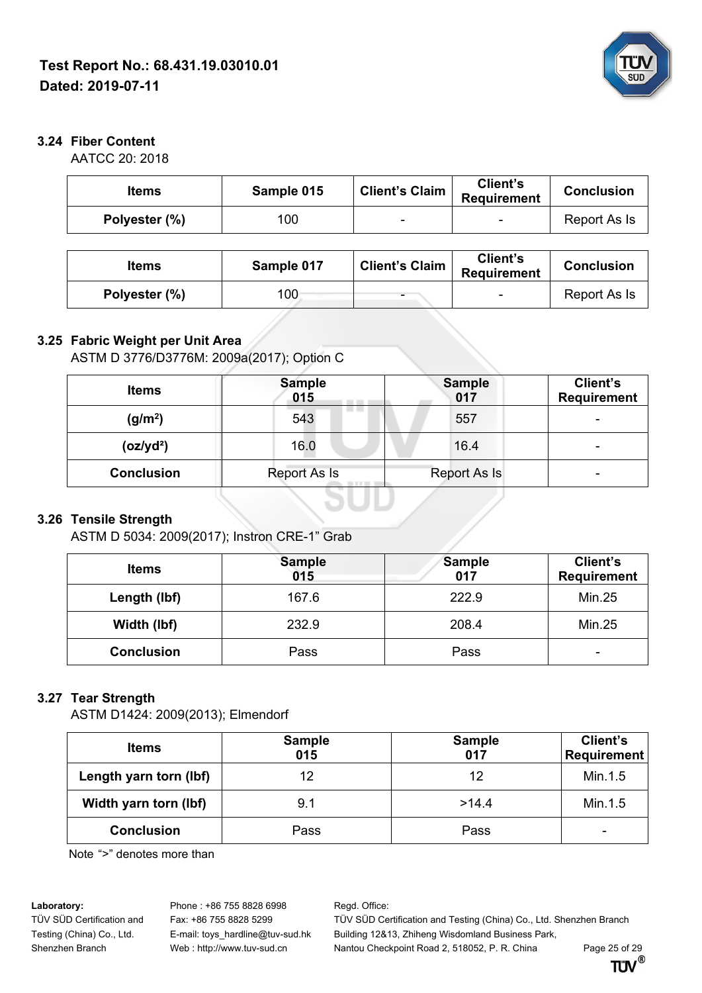

### **3.24 Fiber Content**

AATCC 20: 2018

| <b>Items</b>  | Sample 015 | <b>Client's Claim</b> | Client's<br><b>Requirement</b> | <b>Conclusion</b> |
|---------------|------------|-----------------------|--------------------------------|-------------------|
| Polyester (%) | 100        | -                     |                                | Report As Is      |
|               |            |                       |                                |                   |
| <b>Items</b>  | Sample 017 | <b>Client's Claim</b> | Client's<br><b>Requirement</b> | <b>Conclusion</b> |
| Polyester (%) | 100        |                       |                                | Report As Is      |

### **3.25 Fabric Weight per Unit Area**

ASTM D 3776/D3776M: 2009a(2017); Option C

| <b>Items</b>          | <b>Sample</b><br>015 | <b>Sample</b><br>017 | Client's<br><b>Requirement</b> |
|-----------------------|----------------------|----------------------|--------------------------------|
| (g/m <sup>2</sup> )   | 543                  | 557                  |                                |
| (oz/yd <sup>2</sup> ) | 16.0                 | 16.4                 | -                              |
| <b>Conclusion</b>     | Report As Is         | Report As Is         |                                |

### **3.26 Tensile Strength**

ASTM D 5034: 2009(2017); Instron CRE-1" Grab

| <b>Items</b>      | <b>Sample</b><br>015 | <b>Sample</b><br>017 | <b>Client's</b><br><b>Requirement</b> |
|-------------------|----------------------|----------------------|---------------------------------------|
| Length (lbf)      | 167.6                | 222.9                | <b>Min.25</b>                         |
| Width (lbf)       | 232.9                | 208.4                | <b>Min.25</b>                         |
| <b>Conclusion</b> | Pass                 | Pass                 | -                                     |

### **3.27 Tear Strength**

ASTM D1424: 2009(2013); Elmendorf

| <b>Items</b>           | <b>Sample</b><br>015 | <b>Sample</b><br>017 | Client's<br>Requirement |
|------------------------|----------------------|----------------------|-------------------------|
| Length yarn torn (lbf) | 12                   | 12                   | Min.1.5                 |
| Width yarn torn (lbf)  | 9.1                  | >14.4                | Min.1.5                 |
| <b>Conclusion</b>      | Pass                 | Pass                 |                         |

Note ">" denotes more than

Laboratory: Phone : +86 755 8828 6998 Regd. Office:

TÜV SÜD Certification and Fax: +86 755 8828 5299 TÜV SÜD Certification and Testing (China) Co., Ltd. Shenzhen Branch Testing (China) Co., Ltd. E-mail: toys\_hardline@tuv-sud.hk Building 12&13, Zhiheng Wisdomland Business Park,

Shenzhen Branch Web : http://www.tuv-sud.cn Nantou Checkpoint Road 2, 518052, P. R. China Page 25 of 29<br>**TI'M<sup>®</sup>** 

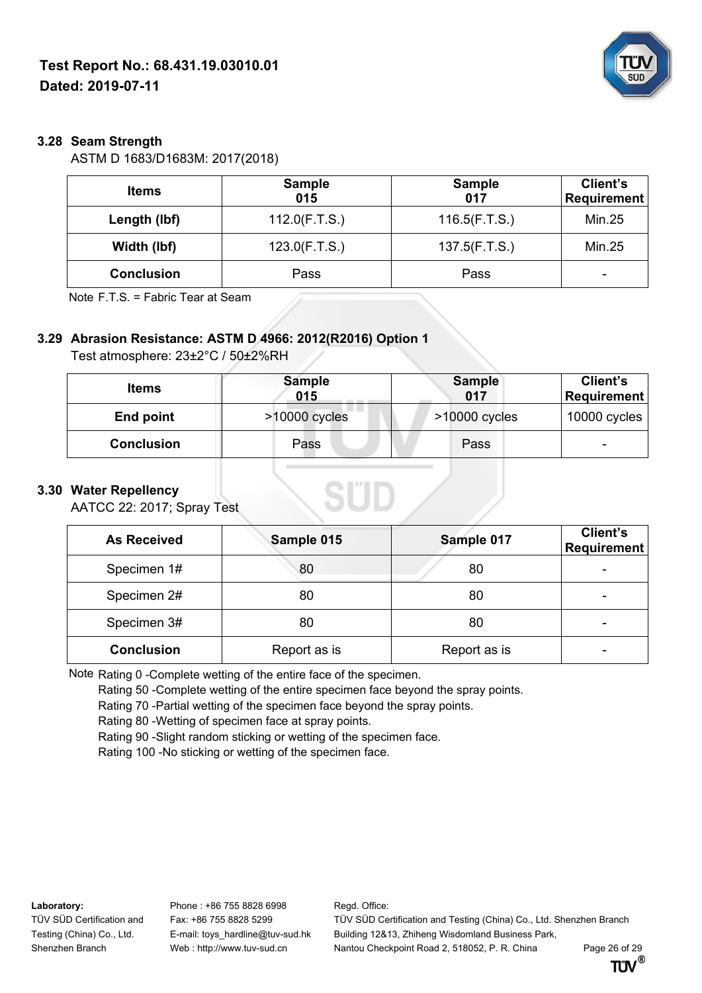

### **3.28 Seam Strength**

ASTM D 1683/D1683M: 2017(2018)

| <b>Items</b>      | <b>Sample</b><br>015 | <b>Sample</b><br>017 | Client's<br><b>Requirement</b> |
|-------------------|----------------------|----------------------|--------------------------------|
| Length (lbf)      | 112.0(F.T.S.)        | 116.5(F.T.S.)        | Min.25                         |
| Width (lbf)       | 123.0(F.T.S.)        | 137.5(F.T.S.)        | Min.25                         |
| <b>Conclusion</b> | Pass                 | Pass                 |                                |

Note F.T.S. = Fabric Tear at Seam

### **3.29 Abrasion Resistance: ASTM D 4966: 2012(R2016) Option 1**

Test atmosphere: 23±2°C / 50±2%RH

| <b>Items</b>      | <b>Sample</b><br>015 | <b>Sample</b><br>017 | Client's<br>Requirement |
|-------------------|----------------------|----------------------|-------------------------|
| End point         | $>10000$ cycles      | $>10000$ cycles      | 10000 cycles            |
| <b>Conclusion</b> | Pass                 | Pass                 |                         |

### **3.30 Water Repellency**

AATCC 22: 2017; Spray Test

| <b>As Received</b> | Sample 015   | Sample 017   | Client's<br><b>Requirement</b> |
|--------------------|--------------|--------------|--------------------------------|
| Specimen 1#        | 80           | 80           |                                |
| Specimen 2#        | 80           | 80           | -                              |
| Specimen 3#        | 80           | 80           | -                              |
| <b>Conclusion</b>  | Report as is | Report as is | -                              |

Note Rating 0 -Complete wetting of the entire face of the specimen.

Rating 50 -Complete wetting of the entire specimen face beyond the spray points.

Rating 70 -Partial wetting of the specimen face beyond the spray points.

Rating 80 -Wetting of specimen face at spray points.

Rating 90 -Slight random sticking or wetting of the specimen face.

Rating 100 -No sticking or wetting of the specimen face.

Laboratory: Phone : +86 755 8828 6998 Regd. Office:

TÜV SÜD Certification and Fax: +86 755 8828 5299 TÜV SÜD Certification and Testing (China) Co., Ltd. Shenzhen Branch Testing (China) Co., Ltd. E-mail: toys hardline@tuv-sud.hk Building 12&13, Zhiheng Wisdomland Business Park, Shenzhen Branch Web : http://www.tuv-sud.cn Nantou Checkpoint Road 2, 518052, P. R. China Page 26 of 29<br>**TI'M**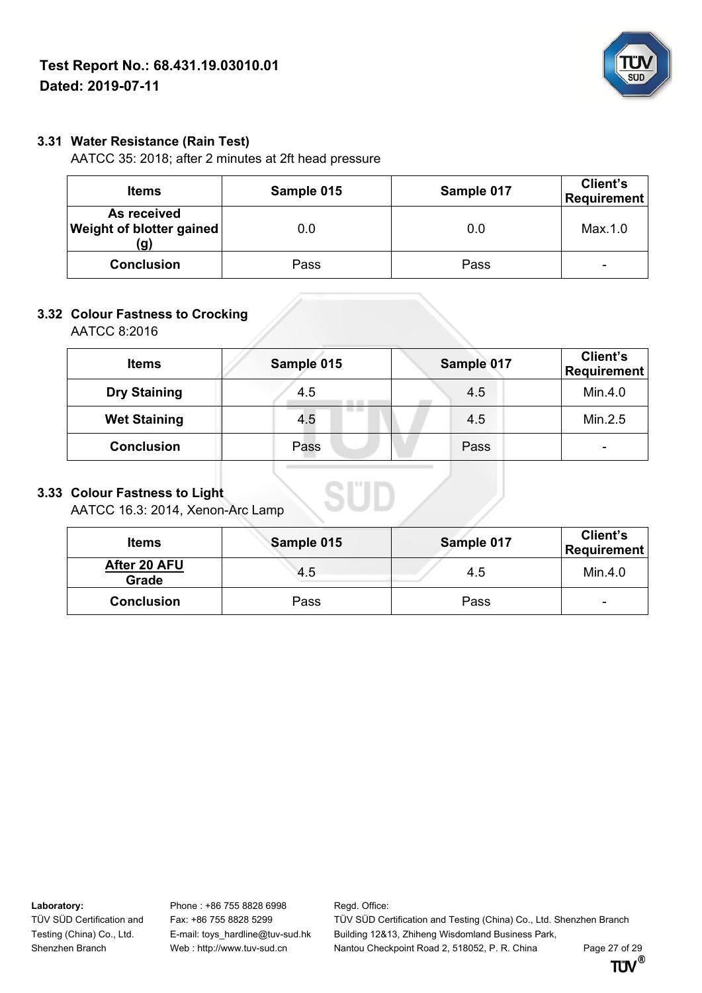

## **3.31 Water Resistance (Rain Test)**

AATCC 35: 2018; after 2 minutes at 2ft head pressure

| <b>Items</b>                                   | Sample 015 | Sample 017 | Client's<br><b>Requirement</b> |
|------------------------------------------------|------------|------------|--------------------------------|
| As received<br>Weight of blotter gained<br>(g) | 0.0        | 0.0        | Max.1.0                        |
| <b>Conclusion</b>                              | Pass       | Pass       | ۰                              |

### **3.32 Colour Fastness to Crocking**

AATCC 8:2016

| <b>Items</b>        | Sample 015 | Sample 017 | Client's<br><b>Requirement</b> |
|---------------------|------------|------------|--------------------------------|
| <b>Dry Staining</b> | 4.5        | 4.5        | Min.4.0                        |
| <b>Wet Staining</b> | 4.5        | 4.5        | Min.2.5                        |
| <b>Conclusion</b>   | Pass       | Pass       | ۰                              |
|                     |            |            |                                |

# **3.33 Colour Fastness to Light**

AATCC 16.3: 2014, Xenon-Arc Lamp

| <b>Items</b>          | Sample 015 | Sample 017 | Client's<br><b>Requirement</b> |
|-----------------------|------------|------------|--------------------------------|
| After 20 AFU<br>Grade | 4.5        | 4.5        | Min.4.0                        |
| <b>Conclusion</b>     | Pass       | Pass       | -                              |

Laboratory: Phone : +86 755 8828 6998 Regd. Office:

TÜV SÜD Certification and Fax: +86 755 8828 5299 TÜV SÜD Certification and Testing (China) Co., Ltd. Shenzhen Branch Testing (China) Co., Ltd. E-mail: toys\_hardline@tuv-sud.hk Building 12&13, Zhiheng Wisdomland Business Park, Shenzhen Branch Web : http://www.tuv-sud.cn Nantou Checkpoint Road 2, 518052, P. R. China Page 27 of 29<br>**TTIV**<sup>®</sup>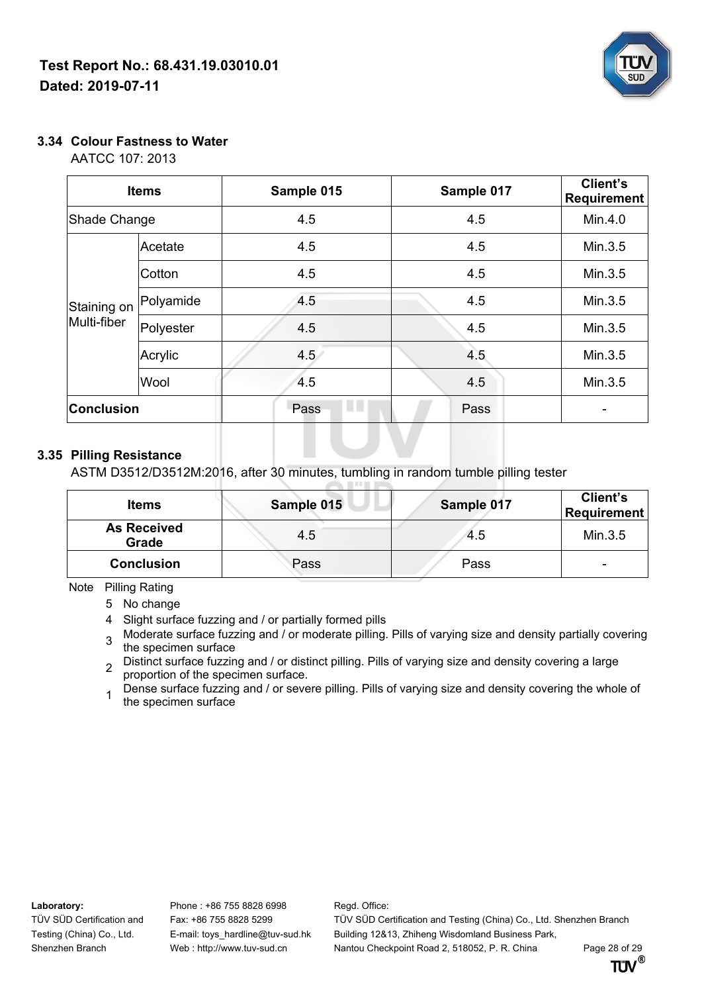

## **3.34 Colour Fastness to Water**

AATCC 107: 2013

| <b>Items</b>               |           | Sample 015  | Sample 017 |         |
|----------------------------|-----------|-------------|------------|---------|
| Shade Change               |           | 4.5         | 4.5        | Min.4.0 |
| Acetate                    |           | 4.5         | 4.5        | Min.3.5 |
| Staining on<br>Multi-fiber | Cotton    | 4.5         | 4.5        | Min.3.5 |
|                            | Polyamide | 4.5         | 4.5        | Min.3.5 |
|                            | Polyester | 4.5         | 4.5        | Min.3.5 |
|                            | Acrylic   | 4.5         | 4.5        | Min.3.5 |
|                            | Wool      | 4.5         | 4.5        | Min.3.5 |
| <b>Conclusion</b>          |           | . .<br>Pass | Pass       |         |

### **3.35 Pilling Resistance**

ASTM D3512/D3512M:2016, after 30 minutes, tumbling in random tumble pilling tester

| <b>Items</b>                | Sample 015 | Sample 017 | Client's<br>$\,$ Requirement $^{\mathrm{+}}$<br>Min.3.5 |  |
|-----------------------------|------------|------------|---------------------------------------------------------|--|
| <b>As Received</b><br>Grade | 4.5        | 4.5        |                                                         |  |
| <b>Conclusion</b>           | Pass       | Pass       | $\overline{\phantom{0}}$                                |  |

Note Pilling Rating

5 No change

- 4 Slight surface fuzzing and / or partially formed pills
- 3 Moderate surface fuzzing and / or moderate pilling. Pills of varying size and density partially covering the specimen surface
- 2 Distinct surface fuzzing and / or distinct pilling. Pills of varying size and density covering a large<br>2 prepartion of the enorimon curface proportion of the specimen surface.
- 1 Dense surface fuzzing and / or severe pilling. Pills of varying size and density covering the whole of the specimen surface

Laboratory: Phone : +86 755 8828 6998 Regd. Office:

TÜV SÜD Certification and Fax: +86 755 8828 5299 TÜV SÜD Certification and Testing (China) Co., Ltd. Shenzhen Branch Testing (China) Co., Ltd. E-mail: toys hardline@tuv-sud.hk Building 12&13, Zhiheng Wisdomland Business Park, Shenzhen Branch Web : http://www.tuv-sud.cn Nantou Checkpoint Road 2, 518052, P. R. China Page 28 of 29<br>**TI'M**